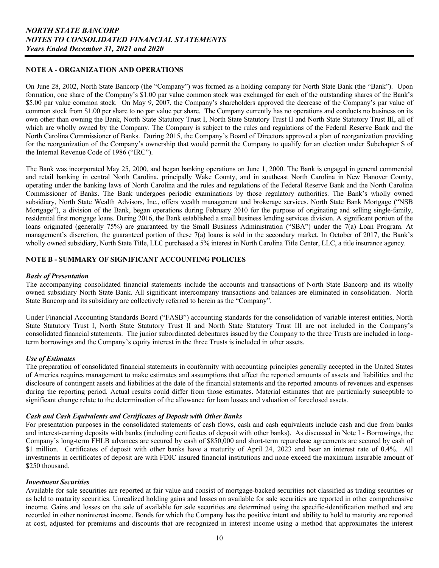## **NOTE A - ORGANIZATION AND OPERATIONS**

 North Carolina Commissioner of Banks. During 2015, the Company's Board of Directors approved a plan of reorganization providing On June 28, 2002, North State Bancorp (the "Company") was formed as a holding company for North State Bank (the "Bank"). Upon formation, one share of the Company's \$1.00 par value common stock was exchanged for each of the outstanding shares of the Bank's \$5.00 par value common stock. On May 9, 2007, the Company's shareholders approved the decrease of the Company's par value of common stock from \$1.00 per share to no par value per share. The Company currently has no operations and conducts no business on its own other than owning the Bank, North State Statutory Trust I, North State Statutory Trust II and North State Statutory Trust III, all of which are wholly owned by the Company. The Company is subject to the rules and regulations of the Federal Reserve Bank and the for the reorganization of the Company's ownership that would permit the Company to qualify for an election under Subchapter S of the Internal Revenue Code of 1986 ("IRC").

The Bank was incorporated May 25, 2000, and began banking operations on June 1, 2000. The Bank is engaged in general commercial and retail banking in central North Carolina, principally Wake County, and in southeast North Carolina in New Hanover County, operating under the banking laws of North Carolina and the rules and regulations of the Federal Reserve Bank and the North Carolina Commissioner of Banks. The Bank undergoes periodic examinations by those regulatory authorities. The Bank's wholly owned subsidiary, North State Wealth Advisors, Inc., offers wealth management and brokerage services. North State Bank Mortgage ("NSB Mortgage"), a division of the Bank, began operations during February 2010 for the purpose of originating and selling single-family, residential first mortgage loans. During 2016, the Bank established a small business lending services division. A significant portion of the loans originated (generally 75%) are guaranteed by the Small Business Administration ("SBA") under the 7(a) Loan Program. At management's discretion, the guaranteed portion of these 7(a) loans is sold in the secondary market. In October of 2017, the Bank's wholly owned subsidiary, North State Title, LLC purchased a 5% interest in North Carolina Title Center, LLC, a title insurance agency.

### **NOTE B - SUMMARY OF SIGNIFICANT ACCOUNTING POLICIES**

#### *Basis of Presentation*

The accompanying consolidated financial statements include the accounts and transactions of North State Bancorp and its wholly owned subsidiary North State Bank. All significant intercompany transactions and balances are eliminated in consolidation. North State Bancorp and its subsidiary are collectively referred to herein as the "Company".

Under Financial Accounting Standards Board ("FASB") accounting standards for the consolidation of variable interest entities, North State Statutory Trust I, North State Statutory Trust II and North State Statutory Trust III are not included in the Company's consolidated financial statements. The junior subordinated debentures issued by the Company to the three Trusts are included in longterm borrowings and the Company's equity interest in the three Trusts is included in other assets.

#### *Use of Estimates*

 of America requires management to make estimates and assumptions that affect the reported amounts of assets and liabilities and the The preparation of consolidated financial statements in conformity with accounting principles generally accepted in the United States disclosure of contingent assets and liabilities at the date of the financial statements and the reported amounts of revenues and expenses during the reporting period. Actual results could differ from those estimates. Material estimates that are particularly susceptible to significant change relate to the determination of the allowance for loan losses and valuation of foreclosed assets.

## *Cash and Cash Equivalents and Certificates of Deposit with Other Banks*

\$1 million. Certificates of deposit with other banks have a maturity of April 24, 2023 and bear an interest rate of 0.4%. All For presentation purposes in the consolidated statements of cash flows, cash and cash equivalents include cash and due from banks and interest-earning deposits with banks (including certificates of deposit with other banks). As discussed in Note I - Borrowings, the Company's long-term FHLB advances are secured by cash of \$850,000 and short-term repurchase agreements are secured by cash of investments in certificates of deposit are with FDIC insured financial institutions and none exceed the maximum insurable amount of \$250 thousand.

#### *Investment Securities*

 recorded in other noninterest income. Bonds for which the Company has the positive intent and ability to hold to maturity are reported Available for sale securities are reported at fair value and consist of mortgage-backed securities not classified as trading securities or as held to maturity securities. Unrealized holding gains and losses on available for sale securities are reported in other comprehensive income. Gains and losses on the sale of available for sale securities are determined using the specific-identification method and are at cost, adjusted for premiums and discounts that are recognized in interest income using a method that approximates the interest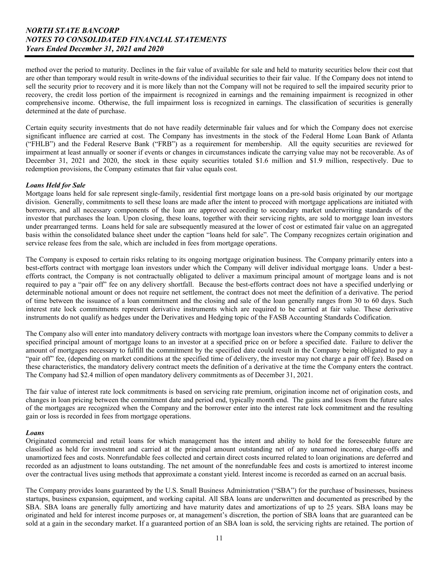method over the period to maturity. Declines in the fair value of available for sale and held to maturity securities below their cost that are other than temporary would result in write-downs of the individual securities to their fair value. If the Company does not intend to sell the security prior to recovery and it is more likely than not the Company will not be required to sell the impaired security prior to recovery, the credit loss portion of the impairment is recognized in earnings and the remaining impairment is recognized in other comprehensive income. Otherwise, the full impairment loss is recognized in earnings. The classification of securities is generally determined at the date of purchase.

Certain equity security investments that do not have readily determinable fair values and for which the Company does not exercise significant influence are carried at cost. The Company has investments in the stock of the Federal Home Loan Bank of Atlanta ("FHLB") and the Federal Reserve Bank ("FRB") as a requirement for membership. All the equity securities are reviewed for impairment at least annually or sooner if events or changes in circumstances indicate the carrying value may not be recoverable. As of December 31, 2021 and 2020, the stock in these equity securities totaled \$1.6 million and \$1.9 million, respectively. Due to redemption provisions, the Company estimates that fair value equals cost.

## *Loans Held for Sale*

 Mortgage loans held for sale represent single-family, residential first mortgage loans on a pre-sold basis originated by our mortgage under prearranged terms. Loans held for sale are subsequently measured at the lower of cost or estimated fair value on an aggregated division. Generally, commitments to sell these loans are made after the intent to proceed with mortgage applications are initiated with borrowers, and all necessary components of the loan are approved according to secondary market underwriting standards of the investor that purchases the loan. Upon closing, these loans, together with their servicing rights, are sold to mortgage loan investors basis within the consolidated balance sheet under the caption "loans held for sale". The Company recognizes certain origination and service release fees from the sale, which are included in fees from mortgage operations.

 required to pay a "pair off" fee on any delivery shortfall. Because the best-efforts contract does not have a specified underlying or instruments do not qualify as hedges under the Derivatives and Hedging topic of the FASB Accounting Standards Codification. The Company is exposed to certain risks relating to its ongoing mortgage origination business. The Company primarily enters into a best-efforts contract with mortgage loan investors under which the Company will deliver individual mortgage loans. Under a bestefforts contract, the Company is not contractually obligated to deliver a maximum principal amount of mortgage loans and is not determinable notional amount or does not require net settlement, the contract does not meet the definition of a derivative. The period of time between the issuance of a loan commitment and the closing and sale of the loan generally ranges from 30 to 60 days. Such interest rate lock commitments represent derivative instruments which are required to be carried at fair value. These derivative

 amount of mortgages necessary to fulfill the commitment by the specified date could result in the Company being obligated to pay a The Company also will enter into mandatory delivery contracts with mortgage loan investors where the Company commits to deliver a specified principal amount of mortgage loans to an investor at a specified price on or before a specified date. Failure to deliver the "pair off" fee, (depending on market conditions at the specified time of delivery, the investor may not charge a pair off fee). Based on these characteristics, the mandatory delivery contract meets the definition of a derivative at the time the Company enters the contract. The Company had \$2.4 million of open mandatory delivery commitments as of December 31, 2021.

 changes in loan pricing between the commitment date and period end, typically month end. The gains and losses from the future sales The fair value of interest rate lock commitments is based on servicing rate premium, origination income net of origination costs, and of the mortgages are recognized when the Company and the borrower enter into the interest rate lock commitment and the resulting gain or loss is recorded in fees from mortgage operations.

#### *Loans*

 over the contractual lives using methods that approximate a constant yield. Interest income is recorded as earned on an accrual basis. Originated commercial and retail loans for which management has the intent and ability to hold for the foreseeable future are classified as held for investment and carried at the principal amount outstanding net of any unearned income, charge-offs and unamortized fees and costs. Nonrefundable fees collected and certain direct costs incurred related to loan originations are deferred and recorded as an adjustment to loans outstanding. The net amount of the nonrefundable fees and costs is amortized to interest income

 SBA. SBA loans are generally fully amortizing and have maturity dates and amortizations of up to 25 years. SBA loans may be The Company provides loans guaranteed by the U.S. Small Business Administration ("SBA") for the purchase of businesses, business startups, business expansion, equipment, and working capital. All SBA loans are underwritten and documented as prescribed by the originated and held for interest income purposes or, at management's discretion, the portion of SBA loans that are guaranteed can be sold at a gain in the secondary market. If a guaranteed portion of an SBA loan is sold, the servicing rights are retained. The portion of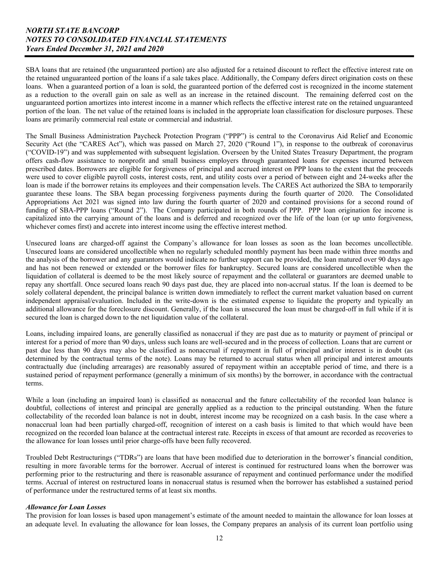SBA loans that are retained (the unguaranteed portion) are also adjusted for a retained discount to reflect the effective interest rate on the retained unguaranteed portion of the loans if a sale takes place. Additionally, the Company defers direct origination costs on these loans. When a guaranteed portion of a loan is sold, the guaranteed portion of the deferred cost is recognized in the income statement as a reduction to the overall gain on sale as well as an increase in the retained discount. The remaining deferred cost on the unguaranteed portion amortizes into interest income in a manner which reflects the effective interest rate on the retained unguaranteed portion of the loan. The net value of the retained loans is included in the appropriate loan classification for disclosure purposes. These loans are primarily commercial real estate or commercial and industrial.

 Security Act (the "CARES Act"), which was passed on March 27, 2020 ("Round 1"), in response to the outbreak of coronavirus Appropriations Act 2021 was signed into law during the fourth quarter of 2020 and contained provisions for a second round of The Small Business Administration Paycheck Protection Program ("PPP") is central to the Coronavirus Aid Relief and Economic ("COVID-19") and was supplemented with subsequent legislation. Overseen by the United States Treasury Department, the program offers cash-flow assistance to nonprofit and small business employers through guaranteed loans for expenses incurred between prescribed dates. Borrowers are eligible for forgiveness of principal and accrued interest on PPP loans to the extent that the proceeds were used to cover eligible payroll costs, interest costs, rent, and utility costs over a period of between eight and 24-weeks after the loan is made if the borrower retains its employees and their compensation levels. The CARES Act authorized the SBA to temporarily guarantee these loans. The SBA began processing forgiveness payments during the fourth quarter of 2020. The Consolidated funding of SBA-PPP loans ("Round 2"). The Company participated in both rounds of PPP. PPP loan origination fee income is capitalized into the carrying amount of the loans and is deferred and recognized over the life of the loan (or up unto forgiveness, whichever comes first) and accrete into interest income using the effective interest method.

 and has not been renewed or extended or the borrower files for bankruptcy. Secured loans are considered uncollectible when the Unsecured loans are charged-off against the Company's allowance for loan losses as soon as the loan becomes uncollectible. Unsecured loans are considered uncollectible when no regularly scheduled monthly payment has been made within three months and the analysis of the borrower and any guarantors would indicate no further support can be provided, the loan matured over 90 days ago liquidation of collateral is deemed to be the most likely source of repayment and the collateral or guarantors are deemed unable to repay any shortfall. Once secured loans reach 90 days past due, they are placed into non-accrual status. If the loan is deemed to be solely collateral dependent, the principal balance is written down immediately to reflect the current market valuation based on current independent appraisal/evaluation. Included in the write-down is the estimated expense to liquidate the property and typically an additional allowance for the foreclosure discount. Generally, if the loan is unsecured the loan must be charged-off in full while if it is secured the loan is charged down to the net liquidation value of the collateral.

 interest for a period of more than 90 days, unless such loans are well-secured and in the process of collection. Loans that are current or Loans, including impaired loans, are generally classified as nonaccrual if they are past due as to maturity or payment of principal or past due less than 90 days may also be classified as nonaccrual if repayment in full of principal and/or interest is in doubt (as determined by the contractual terms of the note). Loans may be returned to accrual status when all principal and interest amounts contractually due (including arrearages) are reasonably assured of repayment within an acceptable period of time, and there is a sustained period of repayment performance (generally a minimum of six months) by the borrower, in accordance with the contractual terms.

While a loan (including an impaired loan) is classified as nonaccrual and the future collectability of the recorded loan balance is doubtful, collections of interest and principal are generally applied as a reduction to the principal outstanding. When the future collectability of the recorded loan balance is not in doubt, interest income may be recognized on a cash basis. In the case where a nonaccrual loan had been partially charged-off, recognition of interest on a cash basis is limited to that which would have been recognized on the recorded loan balance at the contractual interest rate. Receipts in excess of that amount are recorded as recoveries to the allowance for loan losses until prior charge-offs have been fully recovered.

Troubled Debt Restructurings ("TDRs") are loans that have been modified due to deterioration in the borrower's financial condition, resulting in more favorable terms for the borrower. Accrual of interest is continued for restructured loans when the borrower was performing prior to the restructuring and there is reasonable assurance of repayment and continued performance under the modified terms. Accrual of interest on restructured loans in nonaccrual status is resumed when the borrower has established a sustained period of performance under the restructured terms of at least six months.

## *Allowance for Loan Losses*

The provision for loan losses is based upon management's estimate of the amount needed to maintain the allowance for loan losses at an adequate level. In evaluating the allowance for loan losses, the Company prepares an analysis of its current loan portfolio using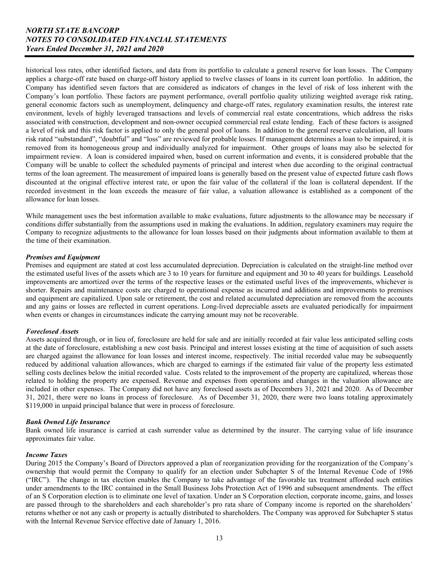Company will be unable to collect the scheduled payments of principal and interest when due according to the original contractual historical loss rates, other identified factors, and data from its portfolio to calculate a general reserve for loan losses. The Company applies a charge-off rate based on charge-off history applied to twelve classes of loans in its current loan portfolio. In addition, the Company has identified seven factors that are considered as indicators of changes in the level of risk of loss inherent with the Company's loan portfolio. These factors are payment performance, overall portfolio quality utilizing weighted average risk rating, general economic factors such as unemployment, delinquency and charge-off rates, regulatory examination results, the interest rate environment, levels of highly leveraged transactions and levels of commercial real estate concentrations, which address the risks associated with construction, development and non-owner occupied commercial real estate lending. Each of these factors is assigned a level of risk and this risk factor is applied to only the general pool of loans. In addition to the general reserve calculation, all loans risk rated "substandard", "doubtful" and "loss" are reviewed for probable losses. If management determines a loan to be impaired, it is removed from its homogeneous group and individually analyzed for impairment. Other groups of loans may also be selected for impairment review. A loan is considered impaired when, based on current information and events, it is considered probable that the terms of the loan agreement. The measurement of impaired loans is generally based on the present value of expected future cash flows discounted at the original effective interest rate, or upon the fair value of the collateral if the loan is collateral dependent. If the recorded investment in the loan exceeds the measure of fair value, a valuation allowance is established as a component of the allowance for loan losses.

 While management uses the best information available to make evaluations, future adjustments to the allowance may be necessary if conditions differ substantially from the assumptions used in making the evaluations. In addition, regulatory examiners may require the Company to recognize adjustments to the allowance for loan losses based on their judgments about information available to them at the time of their examination.

## *Premises and Equipment*

Premises and equipment are stated at cost less accumulated depreciation. Depreciation is calculated on the straight-line method over the estimated useful lives of the assets which are 3 to 10 years for furniture and equipment and 30 to 40 years for buildings. Leasehold improvements are amortized over the terms of the respective leases or the estimated useful lives of the improvements, whichever is shorter. Repairs and maintenance costs are charged to operational expense as incurred and additions and improvements to premises and equipment are capitalized. Upon sale or retirement, the cost and related accumulated depreciation are removed from the accounts and any gains or losses are reflected in current operations. Long-lived depreciable assets are evaluated periodically for impairment when events or changes in circumstances indicate the carrying amount may not be recoverable.

## *Foreclosed Assets*

 included in other expenses. The Company did not have any foreclosed assets as of Decembers 31, 2021 and 2020. As of December Assets acquired through, or in lieu of, foreclosure are held for sale and are initially recorded at fair value less anticipated selling costs at the date of foreclosure, establishing a new cost basis. Principal and interest losses existing at the time of acquisition of such assets are charged against the allowance for loan losses and interest income, respectively. The initial recorded value may be subsequently reduced by additional valuation allowances, which are charged to earnings if the estimated fair value of the property less estimated selling costs declines below the initial recorded value. Costs related to the improvement of the property are capitalized, whereas those related to holding the property are expensed. Revenue and expenses from operations and changes in the valuation allowance are 31, 2021, there were no loans in process of foreclosure. As of December 31, 2020, there were two loans totaling approximately \$119,000 in unpaid principal balance that were in process of foreclosure.

## *Bank Owned Life Insurance*

Bank owned life insurance is carried at cash surrender value as determined by the insurer. The carrying value of life insurance approximates fair value.

#### *Income Taxes*

 During 2015 the Company's Board of Directors approved a plan of reorganization providing for the reorganization of the Company's ownership that would permit the Company to qualify for an election under Subchapter S of the Internal Revenue Code of 1986 ("IRC"). The change in tax election enables the Company to take advantage of the favorable tax treatment afforded such entities under amendments to the IRC contained in the Small Business Jobs Protection Act of 1996 and subsequent amendments. The effect of an S Corporation election is to eliminate one level of taxation. Under an S Corporation election, corporate income, gains, and losses are passed through to the shareholders and each shareholder's pro rata share of Company income is reported on the shareholders' returns whether or not any cash or property is actually distributed to shareholders. The Company was approved for Subchapter S status with the Internal Revenue Service effective date of January 1, 2016.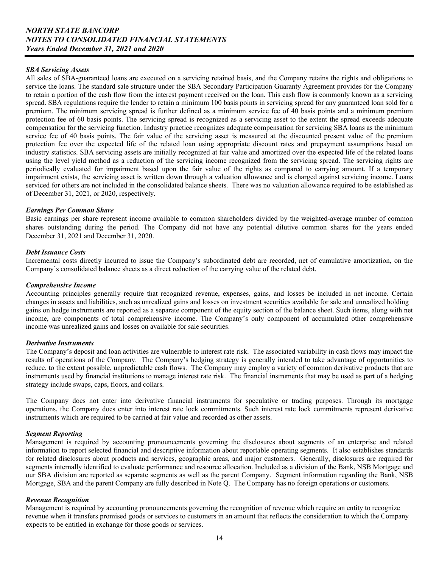#### *SBA Servicing Assets*

 serviced for others are not included in the consolidated balance sheets. There was no valuation allowance required to be established as All sales of SBA-guaranteed loans are executed on a servicing retained basis, and the Company retains the rights and obligations to service the loans. The standard sale structure under the SBA Secondary Participation Guaranty Agreement provides for the Company to retain a portion of the cash flow from the interest payment received on the loan. This cash flow is commonly known as a servicing spread. SBA regulations require the lender to retain a minimum 100 basis points in servicing spread for any guaranteed loan sold for a premium. The minimum servicing spread is further defined as a minimum service fee of 40 basis points and a minimum premium protection fee of 60 basis points. The servicing spread is recognized as a servicing asset to the extent the spread exceeds adequate compensation for the servicing function. Industry practice recognizes adequate compensation for servicing SBA loans as the minimum service fee of 40 basis points. The fair value of the servicing asset is measured at the discounted present value of the premium protection fee over the expected life of the related loan using appropriate discount rates and prepayment assumptions based on industry statistics. SBA servicing assets are initially recognized at fair value and amortized over the expected life of the related loans using the level yield method as a reduction of the servicing income recognized from the servicing spread. The servicing rights are periodically evaluated for impairment based upon the fair value of the rights as compared to carrying amount. If a temporary impairment exists, the servicing asset is written down through a valuation allowance and is charged against servicing income. Loans of December 31, 2021, or 2020, respectively.

#### *Earnings Per Common Share*

 shares outstanding during the period. The Company did not have any potential dilutive common shares for the years ended December 31, 2021 and December 31, 2020. Basic earnings per share represent income available to common shareholders divided by the weighted-average number of common

### *Debt Issuance Costs*

Incremental costs directly incurred to issue the Company's subordinated debt are recorded, net of cumulative amortization, on the Company's consolidated balance sheets as a direct reduction of the carrying value of the related debt.

#### *Comprehensive Income*

Accounting principles generally require that recognized revenue, expenses, gains, and losses be included in net income. Certain changes in assets and liabilities, such as unrealized gains and losses on investment securities available for sale and unrealized holding gains on hedge instruments are reported as a separate component of the equity section of the balance sheet. Such items, along with net income, are components of total comprehensive income. The Company's only component of accumulated other comprehensive income was unrealized gains and losses on available for sale securities.

## *Derivative Instruments*

The Company's deposit and loan activities are vulnerable to interest rate risk. The associated variability in cash flows may impact the results of operations of the Company. The Company's hedging strategy is generally intended to take advantage of opportunities to reduce, to the extent possible, unpredictable cash flows. The Company may employ a variety of common derivative products that are instruments used by financial institutions to manage interest rate risk. The financial instruments that may be used as part of a hedging strategy include swaps, caps, floors, and collars.

The Company does not enter into derivative financial instruments for speculative or trading purposes. Through its mortgage operations, the Company does enter into interest rate lock commitments. Such interest rate lock commitments represent derivative instruments which are required to be carried at fair value and recorded as other assets.

## *Segment Reporting*

 Mortgage, SBA and the parent Company are fully described in Note Q. The Company has no foreign operations or customers. Management is required by accounting pronouncements governing the disclosures about segments of an enterprise and related information to report selected financial and descriptive information about reportable operating segments. It also establishes standards for related disclosures about products and services, geographic areas, and major customers. Generally, disclosures are required for segments internally identified to evaluate performance and resource allocation. Included as a division of the Bank, NSB Mortgage and our SBA division are reported as separate segments as well as the parent Company. Segment information regarding the Bank, NSB

#### *Revenue Recognition*

Management is required by accounting pronouncements governing the recognition of revenue which require an entity to recognize revenue when it transfers promised goods or services to customers in an amount that reflects the consideration to which the Company expects to be entitled in exchange for those goods or services.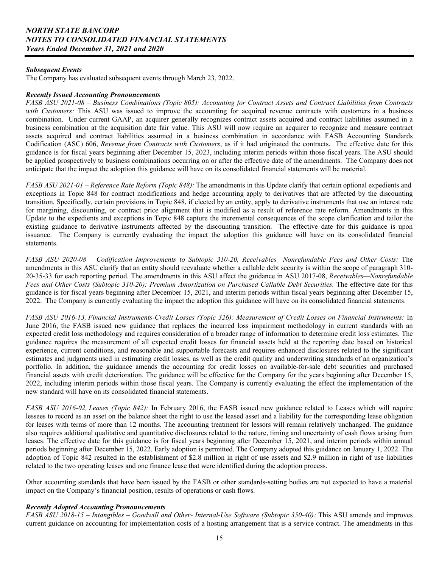#### *Subsequent Events*

The Company has evaluated subsequent events through March 23, 2022.

### *Recently Issued Accounting Pronouncements*

 Codification (ASC) 606, *Revenue from Contracts with Customers*, as if it had originated the contracts. The effective date for this *FASB ASU 2021-08 – Business Combinations (Topic 805): Accounting for Contract Assets and Contract Liabilities from Contracts with Customers:* This ASU was issued to improve the accounting for acquired revenue contracts with customers in a business combination. Under current GAAP, an acquirer generally recognizes contract assets acquired and contract liabilities assumed in a business combination at the acquisition date fair value. This ASU will now require an acquirer to recognize and measure contract assets acquired and contract liabilities assumed in a business combination in accordance with FASB Accounting Standards guidance is for fiscal years beginning after December 15, 2023, including interim periods within those fiscal years. The ASU should be applied prospectively to business combinations occurring on or after the effective date of the amendments. The Company does not anticipate that the impact the adoption this guidance will have on its consolidated financial statements will be material.

*FASB ASU 2021-01 – Reference Rate Reform (Topic 848):* The amendments in this Update clarify that certain optional expedients and exceptions in Topic 848 for contract modifications and hedge accounting apply to derivatives that are affected by the discounting transition. Specifically, certain provisions in Topic 848, if elected by an entity, apply to derivative instruments that use an interest rate for margining, discounting, or contract price alignment that is modified as a result of reference rate reform. Amendments in this Update to the expedients and exceptions in Topic 848 capture the incremental consequences of the scope clarification and tailor the existing guidance to derivative instruments affected by the discounting transition. The effective date for this guidance is upon issuance. The Company is currently evaluating the impact the adoption this guidance will have on its consolidated financial statements.

*FASB ASU 2020-08 – Codification Improvements to Subtopic 310-20, Receivables—Nonrefundable Fees and Other Costs:* The amendments in this ASU clarify that an entity should reevaluate whether a callable debt security is within the scope of paragraph 310- 20-35-33 for each reporting period. The amendments in this ASU affect the guidance in ASU 2017-08, *Receivables—Nonrefundable Fees and Other Costs (Subtopic 310-20): Premium Amortization on Purchased Callable Debt Securities.* The effective date for this guidance is for fiscal years beginning after December 15, 2021, and interim periods within fiscal years beginning after December 15, 2022. The Company is currently evaluating the impact the adoption this guidance will have on its consolidated financial statements.

*FASB ASU 2016-13, Financial Instruments-Credit Losses (Topic 326): Measurement of Credit Losses on Financial Instruments:* In June 2016, the FASB issued new guidance that replaces the incurred loss impairment methodology in current standards with an expected credit loss methodology and requires consideration of a broader range of information to determine credit loss estimates. The guidance requires the measurement of all expected credit losses for financial assets held at the reporting date based on historical experience, current conditions, and reasonable and supportable forecasts and requires enhanced disclosures related to the significant estimates and judgments used in estimating credit losses, as well as the credit quality and underwriting standards of an organization's portfolio. In addition, the guidance amends the accounting for credit losses on available-for-sale debt securities and purchased financial assets with credit deterioration. The guidance will be effective for the Company for the years beginning after December 15, 2022, including interim periods within those fiscal years. The Company is currently evaluating the effect the implementation of the new standard will have on its consolidated financial statements.

 *FASB ASU 2016-02, Leases (Topic 842):* In February 2016, the FASB issued new guidance related to Leases which will require adoption of Topic 842 resulted in the establishment of \$2.8 million in right of use assets and \$2.9 million in right of use liabilities lessees to record as an asset on the balance sheet the right to use the leased asset and a liability for the corresponding lease obligation for leases with terms of more than 12 months. The accounting treatment for lessors will remain relatively unchanged. The guidance also requires additional qualitative and quantitative disclosures related to the nature, timing and uncertainty of cash flows arising from leases. The effective date for this guidance is for fiscal years beginning after December 15, 2021, and interim periods within annual periods beginning after December 15, 2022. Early adoption is permitted. The Company adopted this guidance on January 1, 2022. The related to the two operating leases and one finance lease that were identified during the adoption process.

Other accounting standards that have been issued by the FASB or other standards-setting bodies are not expected to have a material impact on the Company's financial position, results of operations or cash flows.

#### *Recently Adopted Accounting Pronouncements*

*FASB ASU 2018-15 – Intangibles – Goodwill and Other- Internal-Use Software (Subtopic 350-40):* This ASU amends and improves current guidance on accounting for implementation costs of a hosting arrangement that is a service contract. The amendments in this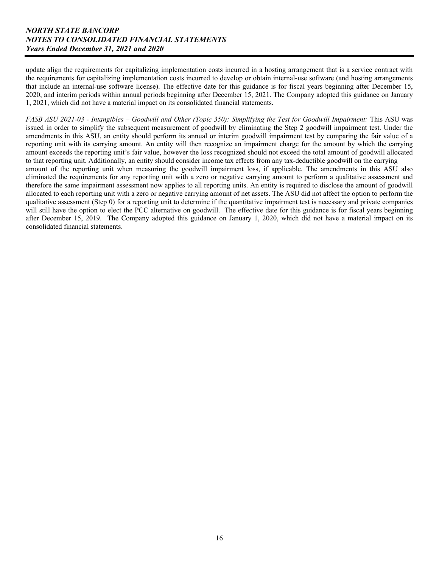update align the requirements for capitalizing implementation costs incurred in a hosting arrangement that is a service contract with the requirements for capitalizing implementation costs incurred to develop or obtain internal-use software (and hosting arrangements that include an internal-use software license). The effective date for this guidance is for fiscal years beginning after December 15, 2020, and interim periods within annual periods beginning after December 15, 2021. The Company adopted this guidance on January 1, 2021, which did not have a material impact on its consolidated financial statements.

*FASB ASU 2021-03 - Intangibles – Goodwill and Other (Topic 350): Simplifying the Test for Goodwill Impairment: This ASU was* issued in order to simplify the subsequent measurement of goodwill by eliminating the Step 2 goodwill impairment test. Under the amendments in this ASU, an entity should perform its annual or interim goodwill impairment test by comparing the fair value of a reporting unit with its carrying amount. An entity will then recognize an impairment charge for the amount by which the carrying amount exceeds the reporting unit's fair value, however the loss recognized should not exceed the total amount of goodwill allocated to that reporting unit. Additionally, an entity should consider income tax effects from any tax-deductible goodwill on the carrying amount of the reporting unit when measuring the goodwill impairment loss, if applicable. The amendments in this ASU also eliminated the requirements for any reporting unit with a zero or negative carrying amount to perform a qualitative assessment and therefore the same impairment assessment now applies to all reporting units. An entity is required to disclose the amount of goodwill allocated to each reporting unit with a zero or negative carrying amount of net assets. The ASU did not affect the option to perform the qualitative assessment (Step 0) for a reporting unit to determine if the quantitative impairment test is necessary and private companies will still have the option to elect the PCC alternative on goodwill. The effective date for this guidance is for fiscal years beginning after December 15, 2019. The Company adopted this guidance on January 1, 2020, which did not have a material impact on its consolidated financial statements.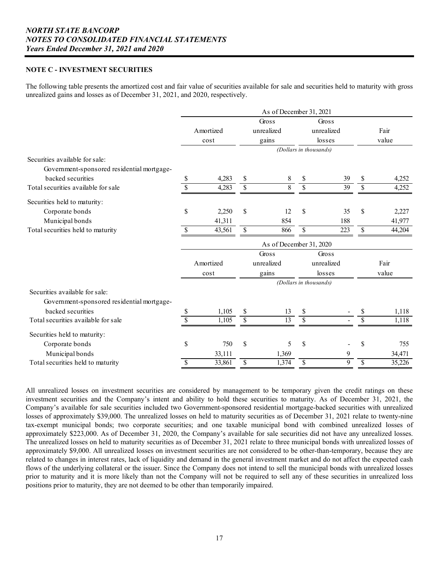### **NOTE C - INVESTMENT SECURITIES**

The following table presents the amortized cost and fair value of securities available for sale and securities held to maturity with gross unrealized gains and losses as of December 31, 2021, and 2020, respectively.

|                                            | As of December 31, 2021<br>Gross<br>Gross |           |              |                         |                        |            |    |        |  |  |  |  |  |
|--------------------------------------------|-------------------------------------------|-----------|--------------|-------------------------|------------------------|------------|----|--------|--|--|--|--|--|
|                                            |                                           |           |              |                         |                        |            |    |        |  |  |  |  |  |
|                                            |                                           | Amortized |              | unrealized              |                        | unrealized |    | Fair   |  |  |  |  |  |
|                                            |                                           | cost      |              | gains                   |                        | losses     |    | value  |  |  |  |  |  |
|                                            |                                           |           |              |                         | (Dollars in thousands) |            |    |        |  |  |  |  |  |
| Securities available for sale:             |                                           |           |              |                         |                        |            |    |        |  |  |  |  |  |
| Government-sponsored residential mortgage- |                                           |           |              |                         |                        |            |    |        |  |  |  |  |  |
| backed securities                          | \$                                        | 4,283     | $\mathbb{S}$ | 8                       | \$                     | 39         | \$ | 4,252  |  |  |  |  |  |
| Total securities available for sale        | \$                                        | 4,283     | \$           | 8                       | \$                     | 39         | \$ | 4,252  |  |  |  |  |  |
| Securities held to maturity:               |                                           |           |              |                         |                        |            |    |        |  |  |  |  |  |
| Corporate bonds                            | \$                                        | 2,250     | \$           | 12                      | \$                     | 35         | \$ | 2,227  |  |  |  |  |  |
| Municipal bonds                            |                                           | 41,311    |              | 854                     |                        | 188        |    | 41,977 |  |  |  |  |  |
| Total securities held to maturity          | \$                                        | 43,561    | \$           | 866                     | \$                     | 223        | \$ | 44,204 |  |  |  |  |  |
|                                            |                                           |           |              | As of December 31, 2020 |                        |            |    |        |  |  |  |  |  |
|                                            |                                           |           |              | Gross                   |                        | Gross      |    |        |  |  |  |  |  |
|                                            |                                           | Amortized |              | unrealized              |                        | unrealized |    | Fair   |  |  |  |  |  |
|                                            |                                           | cost      |              | gains                   |                        | losses     |    | value  |  |  |  |  |  |
|                                            |                                           |           |              |                         | (Dollars in thousands) |            |    |        |  |  |  |  |  |
| Securities available for sale:             |                                           |           |              |                         |                        |            |    |        |  |  |  |  |  |
| Government-sponsored residential mortgage- |                                           |           |              |                         |                        |            |    |        |  |  |  |  |  |
| backed securities                          | \$                                        | 1,105     | \$           | 13                      | \$                     |            | \$ | 1,118  |  |  |  |  |  |
| Total securities available for sale        | \$                                        | 1,105     | \$           | 13                      | \$                     |            | \$ | 1,118  |  |  |  |  |  |
| Securities held to maturity:               |                                           |           |              |                         |                        |            |    |        |  |  |  |  |  |
| Corporate bonds                            | \$                                        | 750       | \$           | 5                       | \$                     |            | \$ | 755    |  |  |  |  |  |
| Municipal bonds                            |                                           | 33,111    |              | 1,369                   |                        | 9          |    | 34,471 |  |  |  |  |  |
| Total securities held to maturity          | \$                                        | 33,861    | \$           | 1,374                   | \$                     | 9          | \$ | 35,226 |  |  |  |  |  |

All unrealized losses on investment securities are considered by management to be temporary given the credit ratings on these investment securities and the Company's intent and ability to hold these securities to maturity. As of December 31, 2021, the Company's available for sale securities included two Government-sponsored residential mortgage-backed securities with unrealized losses of approximately \$39,000. The unrealized losses on held to maturity securities as of December 31, 2021 relate to twenty-nine tax-exempt municipal bonds; two corporate securities; and one taxable municipal bond with combined unrealized losses of approximately \$223,000. As of December 31, 2020, the Company's available for sale securities did not have any unrealized losses. The unrealized losses on held to maturity securities as of December 31, 2021 relate to three municipal bonds with unrealized losses of approximately \$9,000. All unrealized losses on investment securities are not considered to be other-than-temporary, because they are related to changes in interest rates, lack of liquidity and demand in the general investment market and do not affect the expected cash flows of the underlying collateral or the issuer. Since the Company does not intend to sell the municipal bonds with unrealized losses prior to maturity and it is more likely than not the Company will not be required to sell any of these securities in unrealized loss positions prior to maturity, they are not deemed to be other than temporarily impaired.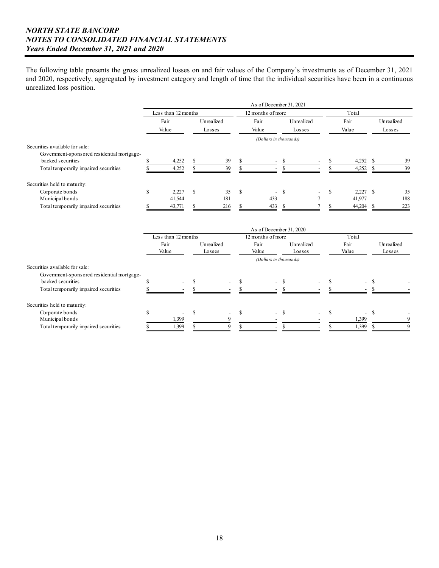and 2020, respectively, aggregated by investment category and length of time that the individual securities have been in a continuous The following table presents the gross unrealized losses on and fair values of the Company's investments as of December 31, 2021 unrealized loss position.

|                                            | As of December 31, 2021 |                                    |     |            |    |                          |    |                          |       |        |        |            |  |  |
|--------------------------------------------|-------------------------|------------------------------------|-----|------------|----|--------------------------|----|--------------------------|-------|--------|--------|------------|--|--|
|                                            |                         | Less than 12 months                |     |            |    | 12 months of more        |    |                          | Total |        |        |            |  |  |
|                                            |                         | Fair                               |     | Unrealized |    | Fair                     |    | Unrealized               |       | Fair   |        | Unrealized |  |  |
|                                            |                         | Value<br>Value<br>Losses<br>Losses |     |            |    |                          |    | Value                    |       |        | Losses |            |  |  |
|                                            |                         |                                    |     |            |    | (Dollars in thousands)   |    |                          |       |        |        |            |  |  |
| Securities available for sale:             |                         |                                    |     |            |    |                          |    |                          |       |        |        |            |  |  |
| Government-sponsored residential mortgage- |                         |                                    |     |            |    |                          |    |                          |       |        |        |            |  |  |
| backed securities                          |                         | 4,252                              |     | 39         |    | $\sim$                   | -S |                          |       | 4,252  |        | 39         |  |  |
| Total temporarily impaired securities      |                         | 4,252                              |     | 39         |    | $\overline{\phantom{a}}$ |    |                          |       | 4,252  |        | 39         |  |  |
| Securities held to maturity:               |                         |                                    |     |            |    |                          |    |                          |       |        |        |            |  |  |
| Corporate bonds                            |                         | 2,227                              | \$. | 35         | -S | $- S$                    |    | $\overline{\phantom{0}}$ | ъ.    | 2.227  | -S     | 35         |  |  |
| Municipal bonds                            |                         | 41,544                             |     | 181        |    | 433                      |    |                          |       | 41,977 |        | 188        |  |  |
| Total temporarily impaired securities      |                         | 43,771                             |     | 216        |    | 433                      |    |                          |       | 44,204 |        | 223        |  |  |

|                                                                 | As of December 31, 2020<br>12 months of more<br>Less than 12 months |                          |                      |                          |  |                          |                      |        |               |        |                      |  |  |  |
|-----------------------------------------------------------------|---------------------------------------------------------------------|--------------------------|----------------------|--------------------------|--|--------------------------|----------------------|--------|---------------|--------|----------------------|--|--|--|
|                                                                 |                                                                     |                          |                      |                          |  |                          |                      |        | Total         |        |                      |  |  |  |
|                                                                 |                                                                     | Fair<br>Value            | Unrealized<br>Losses |                          |  | Fair<br>Value            | Unrealized<br>Losses |        | Fair<br>Value |        | Unrealized<br>Losses |  |  |  |
|                                                                 |                                                                     |                          |                      |                          |  | (Dollars in thousands)   |                      |        |               |        |                      |  |  |  |
| Securities available for sale:                                  |                                                                     |                          |                      |                          |  |                          |                      |        |               |        |                      |  |  |  |
| Government-sponsored residential mortgage-<br>backed securities |                                                                     | $\overline{\phantom{a}}$ |                      | $\overline{\phantom{0}}$ |  | - \$<br>$\sim$           |                      |        | $\sim$        |        |                      |  |  |  |
| Total temporarily impaired securities                           |                                                                     |                          |                      |                          |  | $\overline{\phantom{a}}$ |                      |        |               |        |                      |  |  |  |
| Securities held to maturity:                                    |                                                                     |                          |                      |                          |  |                          |                      |        |               |        |                      |  |  |  |
| Corporate bonds                                                 |                                                                     | $\overline{\phantom{a}}$ |                      | $\overline{\phantom{a}}$ |  | $- S$                    |                      | $\sim$ |               | $-$ \$ |                      |  |  |  |
| Municipal bonds                                                 |                                                                     | 1,399                    |                      |                          |  |                          |                      |        | 1,399         |        | 9                    |  |  |  |
| Total temporarily impaired securities                           |                                                                     | 1,399                    |                      |                          |  | -                        |                      |        | 1,399         |        | 9                    |  |  |  |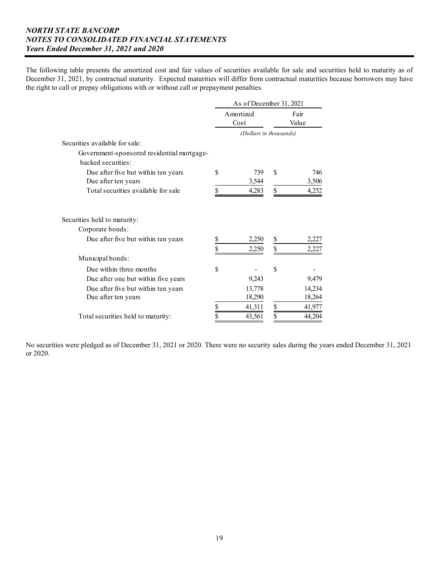The following table presents the amortized cost and fair values of securities available for sale and securities held to maturity as of December 31, 2021, by contractual maturity. Expected maturities will differ from contractual maturities because borrowers may have the right to call or prepay obligations with or without call or prepayment penalties.

|                                            |    | As of December 31, 2021 |               |               |
|--------------------------------------------|----|-------------------------|---------------|---------------|
|                                            |    | Amortized<br>Cost       |               | Fair<br>Value |
|                                            |    | (Dollars in thousands)  |               |               |
| Securities available for sale:             |    |                         |               |               |
| Government-sponsored residential mortgage- |    |                         |               |               |
| backed securities:                         |    |                         |               |               |
| Due after five but within ten years        | \$ | 739                     | \$            | 746           |
| Due after ten years                        |    | 3,544                   |               | 3,506         |
| Total securities available for sale        | \$ | 4,283                   | \$            | 4,252         |
| Securities held to maturity:               |    |                         |               |               |
| Corporate bonds:                           |    |                         |               |               |
| Due after five but within ten years        | \$ | 2,250                   | \$            | 2,227         |
|                                            | \$ | 2,250                   | \$            | 2,227         |
| Municipal bonds:                           |    |                         |               |               |
| Due within three months                    | S  |                         | <sup>\$</sup> |               |
| Due after one but within five years        |    | 9,243                   |               | 9,479         |
| Due after five but within ten years        |    | 13,778                  |               | 14,234        |
| Due after ten years                        |    | 18,290                  |               | 18,264        |
|                                            | \$ | 41,311                  | \$            | 41,977        |
| Total securities held to maturity:         | \$ | 43,561                  | \$            | 44,204        |

No securities were pledged as of December 31, 2021 or 2020. There were no security sales during the years ended December 31, 2021 or 2020.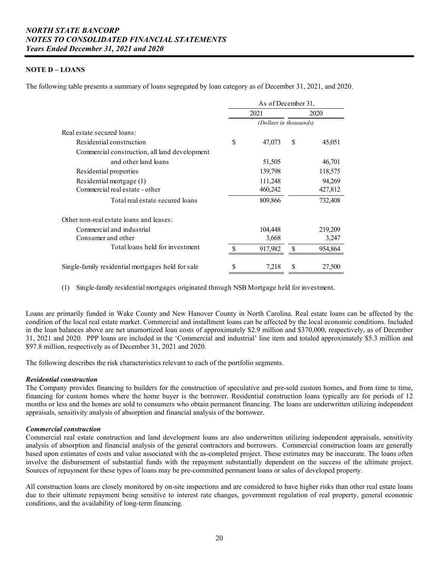## **NOTE D – LOANS**

The following table presents a summary of loans segregated by loan category as of December 31, 2021, and 2020.

|                                                   | As of December 31,     |   |         |
|---------------------------------------------------|------------------------|---|---------|
|                                                   | 2021                   |   | 2020    |
|                                                   | (Dollars in thousands) |   |         |
| Real estate secured loans:                        |                        |   |         |
| Residential construction                          | \$<br>47,073           | S | 45,051  |
| Commercial construction, all land development     |                        |   |         |
| and other land loans                              | 51,505                 |   | 46,701  |
| Residential properties                            | 139,798                |   | 118,575 |
| Residential mortgage (1)                          | 111,248                |   | 94,269  |
| Commercial real estate - other                    | 460,242                |   | 427,812 |
| Total real estate secured loans                   | 809,866                |   | 732,408 |
| Other non-real estate loans and leases:           |                        |   |         |
| Commercial and industrial                         | 104,448                |   | 219,209 |
| Consumer and other                                | 3,668                  |   | 3,247   |
| Total loans held for investment                   | 917,982                |   | 954,864 |
| Single-family residential mortgages held for sale | \$<br>7,218            | S | 27,500  |

(1) Single-family residential mortgages originated through NSB Mortgage held for investment.

 Loans are primarily funded in Wake County and New Hanover County in North Carolina. Real estate loans can be affected by the condition of the local real estate market. Commercial and installment loans can be affected by the local economic conditions. Included in the loan balances above are net unamortized loan costs of approximately \$2.9 million and \$370,000, respectively, as of December 31, 2021 and 2020. PPP loans are included in the 'Commercial and industrial' line item and totaled approximately \$5.3 million and \$97.8 million, respectively as of December 31, 2021 and 2020.

The following describes the risk characteristics relevant to each of the portfolio segments.

## *Residential construction*

The Company provides financing to builders for the construction of speculative and pre-sold custom homes, and from time to time, financing for custom homes where the home buyer is the borrower. Residential construction loans typically are for periods of 12 months or less and the homes are sold to consumers who obtain permanent financing. The loans are underwritten utilizing independent appraisals, sensitivity analysis of absorption and financial analysis of the borrower.

#### *Commercial construction*

 analysis of absorption and financial analysis of the general contractors and borrowers. Commercial construction loans are generally Commercial real estate construction and land development loans are also underwritten utilizing independent appraisals, sensitivity based upon estimates of costs and value associated with the as-completed project. These estimates may be inaccurate. The loans often involve the disbursement of substantial funds with the repayment substantially dependent on the success of the ultimate project. Sources of repayment for these types of loans may be pre-committed permanent loans or sales of developed property.

All construction loans are closely monitored by on-site inspections and are considered to have higher risks than other real estate loans due to their ultimate repayment being sensitive to interest rate changes, government regulation of real property, general economic conditions, and the availability of long-term financing.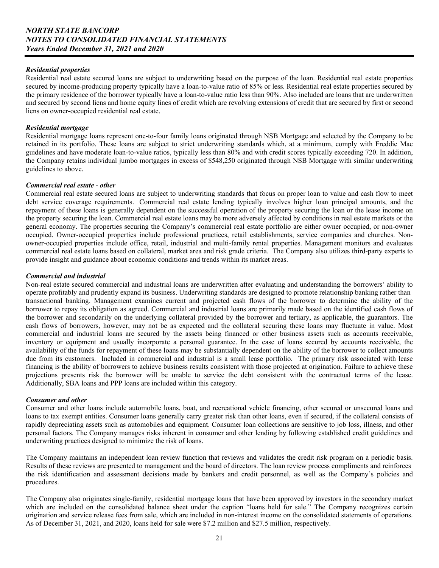#### *Residential properties*

Residential real estate secured loans are subject to underwriting based on the purpose of the loan. Residential real estate properties secured by income-producing property typically have a loan-to-value ratio of 85% or less. Residential real estate properties secured by the primary residence of the borrower typically have a loan-to-value ratio less than 90%. Also included are loans that are underwritten and secured by second liens and home equity lines of credit which are revolving extensions of credit that are secured by first or second liens on owner-occupied residential real estate.

### *Residential mortgage*

Residential mortgage loans represent one-to-four family loans originated through NSB Mortgage and selected by the Company to be retained in its portfolio. These loans are subject to strict underwriting standards which, at a minimum, comply with Freddie Mac guidelines and have moderate loan-to-value ratios, typically less than 80% and with credit scores typically exceeding 720. In addition, the Company retains individual jumbo mortgages in excess of \$548,250 originated through NSB Mortgage with similar underwriting guidelines to above.

### *Commercial real estate - other*

Commercial real estate secured loans are subject to underwriting standards that focus on proper loan to value and cash flow to meet debt service coverage requirements. Commercial real estate lending typically involves higher loan principal amounts, and the repayment of these loans is generally dependent on the successful operation of the property securing the loan or the lease income on the property securing the loan. Commercial real estate loans may be more adversely affected by conditions in real estate markets or the general economy. The properties securing the Company's commercial real estate portfolio are either owner occupied, or non-owner occupied. Owner-occupied properties include professional practices, retail establishments, service companies and churches. Nonowner-occupied properties include office, retail, industrial and multi-family rental properties. Management monitors and evaluates commercial real estate loans based on collateral, market area and risk grade criteria. The Company also utilizes third-party experts to provide insight and guidance about economic conditions and trends within its market areas.

### *Commercial and industrial*

Non-real estate secured commercial and industrial loans are underwritten after evaluating and understanding the borrowers' ability to operate profitably and prudently expand its business. Underwriting standards are designed to promote relationship banking rather than transactional banking. Management examines current and projected cash flows of the borrower to determine the ability of the borrower to repay its obligation as agreed. Commercial and industrial loans are primarily made based on the identified cash flows of the borrower and secondarily on the underlying collateral provided by the borrower and tertiary, as applicable, the guarantors. The cash flows of borrowers, however, may not be as expected and the collateral securing these loans may fluctuate in value. Most commercial and industrial loans are secured by the assets being financed or other business assets such as accounts receivable, inventory or equipment and usually incorporate a personal guarantee. In the case of loans secured by accounts receivable, the availability of the funds for repayment of these loans may be substantially dependent on the ability of the borrower to collect amounts due from its customers. Included in commercial and industrial is a small lease portfolio. The primary risk associated with lease financing is the ability of borrowers to achieve business results consistent with those projected at origination. Failure to achieve these projections presents risk the borrower will be unable to service the debt consistent with the contractual terms of the lease. Additionally, SBA loans and PPP loans are included within this category.

#### *Consumer and other*

Consumer and other loans include automobile loans, boat, and recreational vehicle financing, other secured or unsecured loans and loans to tax exempt entities. Consumer loans generally carry greater risk than other loans, even if secured, if the collateral consists of rapidly depreciating assets such as automobiles and equipment. Consumer loan collections are sensitive to job loss, illness, and other personal factors. The Company manages risks inherent in consumer and other lending by following established credit guidelines and underwriting practices designed to minimize the risk of loans.

Results of these reviews are presented to management and the board of directors. The loan review process compliments and reinforces The Company maintains an independent loan review function that reviews and validates the credit risk program on a periodic basis. the risk identification and assessment decisions made by bankers and credit personnel, as well as the Company's policies and procedures.

The Company also originates single-family, residential mortgage loans that have been approved by investors in the secondary market which are included on the consolidated balance sheet under the caption "loans held for sale." The Company recognizes certain origination and service release fees from sale, which are included in non-interest income on the consolidated statements of operations. As of December 31, 2021, and 2020, loans held for sale were \$7.2 million and \$27.5 million, respectively.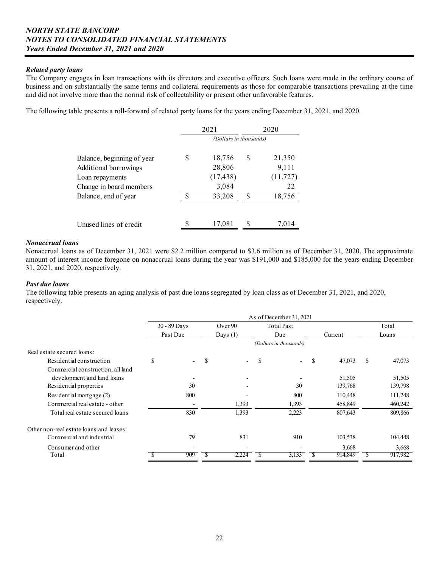### *Related party loans*

The Company engages in loan transactions with its directors and executive officers. Such loans were made in the ordinary course of business and on substantially the same terms and collateral requirements as those for comparable transactions prevailing at the time and did not involve more than the normal risk of collectability or present other unfavorable features.

The following table presents a roll-forward of related party loans for the years ending December 31, 2021, and 2020.

|                            |   | 2021                   |     | 2020      |
|----------------------------|---|------------------------|-----|-----------|
|                            |   | (Dollars in thousands) |     |           |
| Balance, beginning of year | S | 18,756                 | \$. | 21,350    |
| Additional borrowings      |   | 28,806                 |     | 9,111     |
| Loan repayments            |   | (17, 438)              |     | (11, 727) |
| Change in board members    |   | 3,084                  |     | 22        |
| Balance, end of year       |   | 33,208                 |     | 18,756    |
|                            |   |                        |     |           |
| Unused lines of credit     |   | 17,081                 |     | 7,014     |

### *Nonaccrual loans*

 amount of interest income foregone on nonaccrual loans during the year was \$191,000 and \$185,000 for the years ending December Nonaccrual loans as of December 31, 2021 were \$2.2 million compared to \$3.6 million as of December 31, 2020. The approximate 31, 2021, and 2020, respectively.

#### *Past due loans*

The following table presents an aging analysis of past due loans segregated by loan class as of December 31, 2021, and 2020, respectively.

|                                         |                          |   |            | As of December 31, 2021        |              |               |         |
|-----------------------------------------|--------------------------|---|------------|--------------------------------|--------------|---------------|---------|
|                                         | 30 - 89 Days             |   | Over 90    | <b>Total Past</b>              |              |               | Total   |
|                                         | Past Due                 |   | Days $(1)$ | Due                            | Current      |               | Loans   |
|                                         |                          |   |            | (Dollars in thousands)         |              |               |         |
| Real estate secured loans:              |                          |   |            |                                |              |               |         |
| Residential construction                | \$<br>$\overline{a}$     | S | $\sim$     | \$<br>$\overline{\phantom{a}}$ | \$<br>47,073 | <sup>\$</sup> | 47,073  |
| Commercial construction, all land       |                          |   |            |                                |              |               |         |
| development and land loans              |                          |   |            |                                | 51,505       |               | 51,505  |
| Residential properties                  | 30                       |   |            | 30                             | 139,768      |               | 139,798 |
| Residential mortgage (2)                | 800                      |   |            | 800                            | 110,448      |               | 111,248 |
| Commercial real estate - other          | $\overline{\phantom{a}}$ |   | 1,393      | 1,393                          | 458,849      |               | 460,242 |
| Total real estate secured loans         | 830                      |   | 1,393      | 2,223                          | 807,643      |               | 809,866 |
| Other non-real estate loans and leases: |                          |   |            |                                |              |               |         |
| Commercial and industrial               | 79                       |   | 831        | 910                            | 103,538      |               | 104,448 |
| Consumer and other                      |                          |   |            |                                | 3,668        |               | 3,668   |
| Total                                   | 909                      |   | 2,224      | 3,133                          | 914,849      | ъ.            | 917,982 |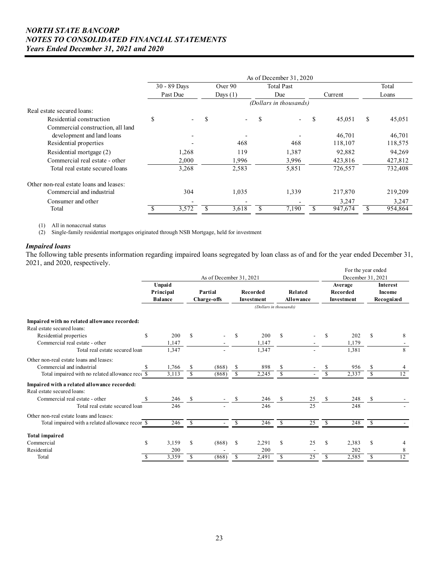|                                         |    | 30 - 89 Days |   | Over 90                  | <b>Total Past</b>              |   |         | Total        |
|-----------------------------------------|----|--------------|---|--------------------------|--------------------------------|---|---------|--------------|
|                                         |    | Past Due     |   | Days $(1)$               | Due                            |   | Current | Loans        |
|                                         |    |              |   |                          | (Dollars in thousands)         |   |         |              |
| Real estate secured loans:              |    |              |   |                          |                                |   |         |              |
| Residential construction                | \$ |              | S | $\overline{\phantom{0}}$ | \$<br>$\overline{\phantom{0}}$ | S | 45,051  | \$<br>45,051 |
| Commercial construction, all land       |    |              |   |                          |                                |   |         |              |
| development and land loans              |    |              |   |                          |                                |   | 46,701  | 46,701       |
| Residential properties                  |    |              |   | 468                      | 468                            |   | 118,107 | 118,575      |
| Residential mortgage (2)                |    | 1,268        |   | 119                      | 1,387                          |   | 92,882  | 94,269       |
| Commercial real estate - other          |    | 2,000        |   | 1,996                    | 3.996                          |   | 423,816 | 427,812      |
| Total real estate secured loans         |    | 3,268        |   | 2,583                    | 5,851                          |   | 726,557 | 732,408      |
| Other non-real estate loans and leases: |    |              |   |                          |                                |   |         |              |
| Commercial and industrial               |    | 304          |   | 1,035                    | 1,339                          |   | 217,870 | 219,209      |
| Consumer and other                      |    |              |   |                          |                                |   | 3,247   | 3,247        |
| Total                                   |    | 3,572        |   | 3,618                    | 7,190                          |   | 947,674 | 954,864      |

(1) All in nonaccrual status

(2) Single-family residential mortgages originated through NSB Mortgage, held for investment

## *Impaired loans*

The following table presents information regarding impaired loans segregated by loan class as of and for the year ended December 31, 2021, and 2020, respectively.

|                                                  |    |                                       |    |                         |    | For the year ended            |                   |                             |               |                                   |               |                                         |  |  |
|--------------------------------------------------|----|---------------------------------------|----|-------------------------|----|-------------------------------|-------------------|-----------------------------|---------------|-----------------------------------|---------------|-----------------------------------------|--|--|
|                                                  |    |                                       |    | As of December 31, 2021 |    |                               | December 31, 2021 |                             |               |                                   |               |                                         |  |  |
|                                                  |    | Unpaid<br>Principal<br><b>Balance</b> |    | Partial<br>Charge-offs  |    | <b>Recorded</b><br>Investment |                   | Related<br><b>Allowance</b> |               | Average<br>Recorded<br>Investment |               | <b>Interest</b><br>Income<br>Recognized |  |  |
|                                                  |    |                                       |    |                         |    | (Dollars in thousands)        |                   |                             |               |                                   |               |                                         |  |  |
| Impaired with no related allowance recorded:     |    |                                       |    |                         |    |                               |                   |                             |               |                                   |               |                                         |  |  |
| Real estate secured loans:                       |    |                                       |    |                         |    |                               |                   |                             |               |                                   |               |                                         |  |  |
| Residential properties                           | S  | 200                                   | \$ |                         | \$ | 200                           | S                 |                             | \$            | 202                               | \$            | 8                                       |  |  |
| Commercial real estate - other                   |    | 1,147                                 |    |                         |    | 1,147                         |                   |                             |               | 1,179                             |               |                                         |  |  |
| Total real estate secured loan                   |    | 1,347                                 |    |                         |    | 1,347                         |                   |                             |               | 1,381                             |               | 8                                       |  |  |
| Other non-real estate loans and leases:          |    |                                       |    |                         |    |                               |                   |                             |               |                                   |               |                                         |  |  |
| Commercial and industrial                        |    | 1,766                                 | \$ | (868)                   | \$ | 898                           | \$                |                             | S             | 956                               | \$            |                                         |  |  |
| Total impaired with no related allowance rece \$ |    | 3,113                                 | \$ | (868)                   | \$ | 2,245                         | S                 |                             | \$            | 2,337                             | \$            | 12                                      |  |  |
| Impaired with a related allowance recorded:      |    |                                       |    |                         |    |                               |                   |                             |               |                                   |               |                                         |  |  |
| Real estate secured loans:                       |    |                                       |    |                         |    |                               |                   |                             |               |                                   |               |                                         |  |  |
| Commercial real estate - other                   | \$ | 246                                   | \$ |                         | \$ | 246                           | S                 | 25                          | <sup>\$</sup> | 248                               | \$            |                                         |  |  |
| Total real estate secured loan                   |    | 246                                   |    |                         |    | 246                           |                   | 25                          |               | 248                               |               |                                         |  |  |
| Other non-real estate loans and leases:          |    |                                       |    |                         |    |                               |                   |                             |               |                                   |               |                                         |  |  |
| Total impaired with a related allowance recor \$ |    | 246                                   | \$ |                         | \$ | 246                           | <sup>\$</sup>     | 25                          | <sup>\$</sup> | 248                               | <sup>\$</sup> |                                         |  |  |
| Total impaired                                   |    |                                       |    |                         |    |                               |                   |                             |               |                                   |               |                                         |  |  |
| Commercial                                       | \$ | 3,159                                 | \$ | (868)                   | \$ | 2,291                         | S                 | 25                          | <sup>\$</sup> | 2,383                             | \$            |                                         |  |  |
| Residential                                      |    | 200                                   |    |                         |    | 200                           |                   |                             |               | 202                               |               | 8                                       |  |  |
| Total                                            | S  | 3,359                                 | \$ | (868)                   | \$ | 2,491                         | \$                | 25                          | S             | 2,585                             | \$            | 12                                      |  |  |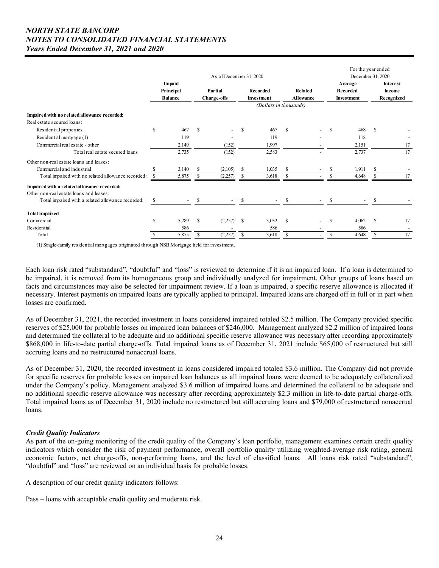|                                                    |               |                                       |     | As of December 31, 2020       |      |                               |                             | For the year ended<br>December 31, 2020 |     |                                   |               |                                         |
|----------------------------------------------------|---------------|---------------------------------------|-----|-------------------------------|------|-------------------------------|-----------------------------|-----------------------------------------|-----|-----------------------------------|---------------|-----------------------------------------|
|                                                    |               | Unpaid<br>Principal<br><b>Balance</b> |     | Partial<br><b>Charge-offs</b> |      | Recorded<br><b>Investment</b> | Related<br><b>Allowance</b> |                                         |     | Average<br>Recorded<br>Investment |               | <b>Interest</b><br>Income<br>Recognized |
|                                                    |               |                                       |     |                               |      | (Dollars in thousands)        |                             |                                         |     |                                   |               |                                         |
| Impaired with no related allowance recorded:       |               |                                       |     |                               |      |                               |                             |                                         |     |                                   |               |                                         |
| Real estate secured loans:                         | $\mathbf{s}$  | 467                                   |     |                               |      | 467                           | \$.                         |                                         | \$. |                                   |               |                                         |
| Residential properties                             |               | 119                                   | S   |                               | \$.  | 119                           |                             |                                         |     | 468                               | -S            |                                         |
| Residential mortgage (1)                           |               |                                       |     |                               |      |                               |                             |                                         |     | 118                               |               |                                         |
| Commercial real estate - other                     |               | 2,149                                 |     | (152)                         |      | 1,997                         |                             |                                         |     | 2,151                             |               | 17                                      |
| Total real estate secured loans                    |               | 2,735                                 |     | (152)                         |      | 2,583                         |                             |                                         |     | 2,737                             |               | 17                                      |
| Other non-real estate loans and leases:            |               |                                       |     |                               |      |                               |                             |                                         |     |                                   |               |                                         |
| Commercial and industrial                          |               | 3,140                                 | \$  | (2,105)                       | \$.  | 1,035                         | -S                          |                                         | \$  | 1,911                             | S             |                                         |
| Total impaired with no related allowance recorded: |               | 5,875                                 | \$  | (2,257)                       | \$   | 3,618                         | \$                          |                                         |     | 4,648                             | \$            | 17                                      |
| Impaired with a related allowance recorded:        |               |                                       |     |                               |      |                               |                             |                                         |     |                                   |               |                                         |
| Other non-real estate loans and leases:            |               |                                       |     |                               |      |                               |                             |                                         |     |                                   |               |                                         |
| Total impaired with a related allowance recorded:  |               |                                       | \$. |                               | \$   |                               | \$.                         |                                         | \$  |                                   | \$            |                                         |
| <b>Total impaired</b>                              |               |                                       |     |                               |      |                               |                             |                                         |     |                                   |               |                                         |
| Commercial                                         | \$            | 5,289                                 | S   | (2,257)                       | - \$ | 3,032                         | \$                          |                                         | \$  | 4,062                             | <sup>\$</sup> | 17                                      |
| Residential                                        |               | 586                                   |     |                               |      | 586                           |                             |                                         |     | 586                               |               |                                         |
| Total                                              | <sup>\$</sup> | 5,875                                 | S   | (2,257)                       | \$   | 3,618                         | S                           | $\blacksquare$                          | \$  | 4,648                             | S             | 17                                      |

(1) Single-family residential mortgages originated through NSB Mortgage held for investment.

 necessary. Interest payments on impaired loans are typically applied to principal. Impaired loans are charged off in full or in part when Each loan risk rated "substandard", "doubtful" and "loss" is reviewed to determine if it is an impaired loan. If a loan is determined to be impaired, it is removed from its homogeneous group and individually analyzed for impairment. Other groups of loans based on facts and circumstances may also be selected for impairment review. If a loan is impaired, a specific reserve allowance is allocated if losses are confirmed.

accruing loans and no restructured nonaccrual loans. As of December 31, 2021, the recorded investment in loans considered impaired totaled \$2.5 million. The Company provided specific reserves of \$25,000 for probable losses on impaired loan balances of \$246,000. Management analyzed \$2.2 million of impaired loans and determined the collateral to be adequate and no additional specific reserve allowance was necessary after recording approximately \$868,000 in life-to-date partial charge-offs. Total impaired loans as of December 31, 2021 include \$65,000 of restructured but still

accruing loans and no restructured nonaccrual loans.<br>As of December 31, 2020, the recorded investment in loans considered impaired totaled \$3.6 million. The Company did not provide for specific reserves for probable losses on impaired loan balances as all impaired loans were deemed to be adequately collateralized under the Company's policy. Management analyzed \$3.6 million of impaired loans and determined the collateral to be adequate and no additional specific reserve allowance was necessary after recording approximately \$2.3 million in life-to-date partial charge-offs. Total impaired loans as of December 31, 2020 include no restructured but still accruing loans and \$79,000 of restructured nonaccrual loans.

## *Credit Quality Indicators*

As part of the on-going monitoring of the credit quality of the Company's loan portfolio, management examines certain credit quality indicators which consider the risk of payment performance, overall portfolio quality utilizing weighted-average risk rating, general economic factors, net charge-offs, non-performing loans, and the level of classified loans. All loans risk rated "substandard", "doubtful" and "loss" are reviewed on an individual basis for probable losses.

A description of our credit quality indicators follows:

Pass – loans with acceptable credit quality and moderate risk.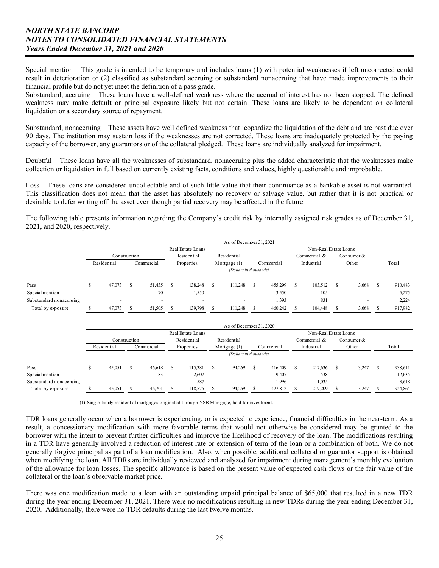Special mention – This grade is intended to be temporary and includes loans (1) with potential weaknesses if left uncorrected could result in deterioration or (2) classified as substandard accruing or substandard nonaccruing that have made improvements to their financial profile but do not yet meet the definition of a pass grade.

Substandard, accruing – These loans have a well-defined weakness where the accrual of interest has not been stopped. The defined weakness may make default or principal exposure likely but not certain. These loans are likely to be dependent on collateral liquidation or a secondary source of repayment.

Substandard, nonaccruing – These assets have well defined weakness that jeopardize the liquidation of the debt and are past due over 90 days. The institution may sustain loss if the weaknesses are not corrected. These loans are inadequately protected by the paying capacity of the borrower, any guarantors or of the collateral pledged. These loans are individually analyzed for impairment.

Doubtful – These loans have all the weaknesses of substandard, nonaccruing plus the added characteristic that the weaknesses make collection or liquidation in full based on currently existing facts, conditions and values, highly questionable and improbable.

Loss – These loans are considered uncollectable and of such little value that their continuance as a bankable asset is not warranted. This classification does not mean that the asset has absolutely no recovery or salvage value, but rather that it is not practical or desirable to defer writing off the asset even though partial recovery may be affected in the future.

The following table presents information regarding the Company's credit risk by internally assigned risk grades as of December 31, 2021, and 2020, respectively.

|                         |                                            |    |                          |    |                          |   | As of December 31, 2021 |   |            |   |                              |   |                          |   |         |
|-------------------------|--------------------------------------------|----|--------------------------|----|--------------------------|---|-------------------------|---|------------|---|------------------------------|---|--------------------------|---|---------|
|                         |                                            |    |                          |    | Real Estate Loans        |   |                         |   |            |   | Non-Real Estate Loans        |   |                          |   |         |
|                         | Residential<br>Residential<br>Construction |    |                          |    |                          |   |                         |   |            |   | Commercial &<br>Consumer $&$ |   |                          |   |         |
|                         | Residential                                |    | Commercial               |    | Properties               |   | Mortgage $(1)$          |   | Commercial |   | Industrial                   |   | Other                    |   | Total   |
|                         |                                            |    |                          |    |                          |   | (Dollars in thousands)  |   |            |   |                              |   |                          |   |         |
| Pass                    | 47,073                                     | £. | 51,435                   | S. | 138,248                  | ъ | 111,248                 | S | 455,299    | S | 103,512                      | S | 3,668                    | S | 910,483 |
| Special mention         |                                            |    | 70                       |    | 1,550                    |   | $\overline{a}$          |   | 3,550      |   | 105                          |   | $\overline{\phantom{0}}$ |   | 5,275   |
| Substandard nonaccruing | $\overline{\phantom{a}}$                   |    | $\overline{\phantom{a}}$ |    | $\overline{\phantom{a}}$ |   | $\overline{a}$          |   | 1,393      |   | 831                          |   | $\overline{\phantom{a}}$ |   | 2,224   |
| Total by exposure       | 47,073                                     |    | 51,505                   |    | 139,798                  |   | 111.248                 |   | 460,242    |   | 104,448                      |   | 3,668                    |   | 917,982 |

|                         |   |                                            |   |                          |   |                   |                        | As of December 31, 2020  |  |            |              |                       |  |                          |         |
|-------------------------|---|--------------------------------------------|---|--------------------------|---|-------------------|------------------------|--------------------------|--|------------|--------------|-----------------------|--|--------------------------|---------|
|                         |   |                                            |   |                          |   | Real Estate Loans |                        |                          |  |            |              | Non-Real Estate Loans |  |                          |         |
|                         |   | Residential<br>Residential<br>Construction |   |                          |   |                   |                        |                          |  |            | Commercial & | Consumer &            |  |                          |         |
|                         |   | Residential                                |   | Commercial               |   | Properties        |                        | Mortgage $(1)$           |  | Commercial |              | Industrial            |  | Other                    | Total   |
|                         |   |                                            |   |                          |   |                   | (Dollars in thousands) |                          |  |            |              |                       |  |                          |         |
| Pass                    | ъ | 45,051                                     | У | 46,618                   | S | 115,381           | э                      | 94,269                   |  | 416,409    |              | 217,636               |  | 3,247                    | 938,611 |
| Special mention         |   | $\overline{\phantom{a}}$                   |   | 83                       |   | 2,607             |                        | $\overline{a}$           |  | 9,407      |              | 538                   |  | $\overline{\phantom{a}}$ | 12,635  |
| Substandard nonaccruing |   | $\overline{\phantom{a}}$                   |   | $\overline{\phantom{a}}$ |   | 587               |                        | $\overline{\phantom{0}}$ |  | 1,996      |              | 1,035                 |  | $\overline{\phantom{0}}$ | 3,618   |
| Total by exposure       |   | 45,051                                     |   | 46,701                   |   | 118.575           |                        | 94,269                   |  | 427,812    |              | 219,209               |  | 3,247                    | 954,864 |

(1) Single-family residential mortgages originated through NSB Mortgage, held for investment.

 result, a concessionary modification with more favorable terms that would not otherwise be considered may be granted to the TDR loans generally occur when a borrower is experiencing, or is expected to experience, financial difficulties in the near-term. As a borrower with the intent to prevent further difficulties and improve the likelihood of recovery of the loan. The modifications resulting in a TDR have generally involved a reduction of interest rate or extension of term of the loan or a combination of both. We do not generally forgive principal as part of a loan modification. Also, when possible, additional collateral or guarantor support is obtained when modifying the loan. All TDRs are individually reviewed and analyzed for impairment during management's monthly evaluation of the allowance for loan losses. The specific allowance is based on the present value of expected cash flows or the fair value of the collateral or the loan's observable market price.

 There was one modification made to a loan with an outstanding unpaid principal balance of \$65,000 that resulted in a new TDR during the year ending December 31, 2021. There were no modifications resulting in new TDRs during the year ending December 31, 2020. Additionally, there were no TDR defaults during the last twelve months.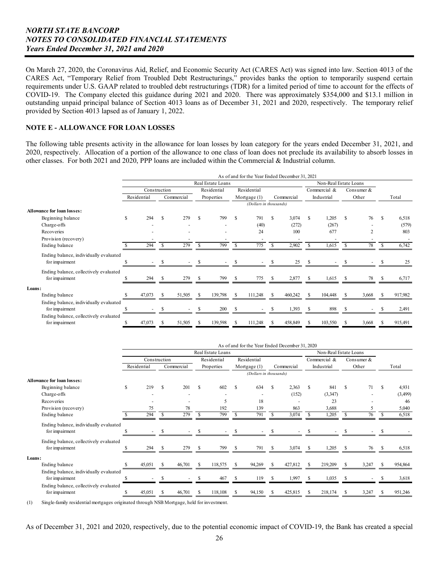provided by Section 4013 lapsed as of January 1, 2022. On March 27, 2020, the Coronavirus Aid, Relief, and Economic Security Act (CARES Act) was signed into law. Section 4013 of the CARES Act, "Temporary Relief from Troubled Debt Restructurings," provides banks the option to temporarily suspend certain requirements under U.S. GAAP related to troubled debt restructurings (TDR) for a limited period of time to account for the effects of COVID-19. The Company elected this guidance during 2021 and 2020. There was approximately \$354,000 and \$13.1 million in outstanding unpaid principal balance of Section 4013 loans as of December 31, 2021 and 2020, respectively. The temporary relief

## **NOTE E - ALLOWANCE FOR LOAN LOSSES**

The following table presents activity in the allowance for loan losses by loan category for the years ended December 31, 2021, and 2020, respectively. Allocation of a portion of the allowance to one class of loan does not preclude its availability to absorb losses in other classes. For both 2021 and 2020, PPP loans are included within the Commercial & Industrial column.

|                                        | As of and for the Year Ended December 31, 2021 |              |    |            |          |                   |               |                        |               |            |                       |              |    |                |   |         |
|----------------------------------------|------------------------------------------------|--------------|----|------------|----------|-------------------|---------------|------------------------|---------------|------------|-----------------------|--------------|----|----------------|---|---------|
|                                        |                                                |              |    |            |          | Real Estate Loans |               |                        |               |            | Non-Real Estate Loans |              |    |                |   |         |
|                                        |                                                | Construction |    |            |          | Residential       |               | Residential            |               |            |                       | Commercial & |    | Consumer $&$   |   |         |
|                                        |                                                | Residential  |    | Commercial |          | Properties        |               | Mortgage $(1)$         |               | Commercial |                       | Industrial   |    | Other          |   | Total   |
|                                        |                                                |              |    |            |          |                   |               | (Dollars in thousands) |               |            |                       |              |    |                |   |         |
| <b>Allowance for loan losses:</b>      |                                                |              |    |            |          |                   |               |                        |               |            |                       |              |    |                |   |         |
| Beginning balance                      | S                                              | 294          | S  | 279        | S        | 799               | <sup>\$</sup> | 791                    | <sup>\$</sup> | 3,074      | S                     | 1,205        | S  | 76             | S | 6,518   |
| Charge-offs                            |                                                |              |    |            |          |                   |               | (40)                   |               | (272)      |                       | (267)        |    |                |   | (579)   |
| Recoveries                             |                                                |              |    |            |          |                   |               | 24                     |               | 100        |                       | 677          |    | $\overline{2}$ |   | 803     |
| Provision (recovery)                   |                                                |              |    |            |          |                   |               |                        |               |            |                       |              |    |                |   |         |
| Ending balance                         |                                                | 294          | S  | 279        | S        | 799               |               | 775                    |               | 2,902      |                       | 1,615        |    | 78             |   | 6,742   |
| Ending balance, individually evaluated |                                                |              |    |            |          |                   |               |                        |               |            |                       |              |    |                |   |         |
| for impairment                         |                                                |              | S  |            |          |                   |               |                        |               | 25         |                       |              |    |                |   | 25      |
| Ending balance, collectively evaluated |                                                |              |    |            |          |                   |               |                        |               |            |                       |              |    |                |   |         |
| for impairment                         |                                                | 294          | £. | 279        | <b>S</b> | 799               |               | 775                    | -S            | 2,877      | -S                    | 1,615        | -S | 78             |   | 6,717   |
| Loans:                                 |                                                |              |    |            |          |                   |               |                        |               |            |                       |              |    |                |   |         |
| Ending balance                         |                                                | 47,073       | S  | 51,505     | \$.      | 139,798           | £.            | 111,248                |               | 460,242    |                       | 104,448      | -S | 3,668          | S | 917,982 |
| Ending balance, individually evaluated |                                                |              |    |            |          |                   |               |                        |               |            |                       |              |    |                |   |         |
| for impairment                         |                                                |              |    |            |          | 200               |               |                        |               | 1,393      |                       | 898          |    |                |   | 2,491   |
| Ending balance, collectively evaluated |                                                |              |    |            |          |                   |               |                        |               |            |                       |              |    |                |   |         |
| for impairment                         | S                                              | 47,073       | S  | 51,505     | S        | 139,598           | S             | 111,248                | S             | 458,849    | S                     | 103,550      | -S | 3,668          | S | 915,491 |

|                                        | As of and for the Year Ended December 31, 2020 |                   |    |                            |    |            |     |                        |               |            |                       |            |               |       |     |         |
|----------------------------------------|------------------------------------------------|-------------------|----|----------------------------|----|------------|-----|------------------------|---------------|------------|-----------------------|------------|---------------|-------|-----|---------|
|                                        |                                                | Real Estate Loans |    |                            |    |            |     |                        |               |            | Non-Real Estate Loans |            |               |       |     |         |
|                                        | Construction                                   |                   |    | Residential<br>Residential |    |            |     |                        | Commercial &  |            | Consumer $&$          |            |               |       |     |         |
|                                        |                                                | Residential       |    | Commercial                 |    | Properties |     | Mortgage (1)           |               | Commercial |                       | Industrial |               | Other |     | Total   |
|                                        |                                                |                   |    |                            |    |            |     | (Dollars in thousands) |               |            |                       |            |               |       |     |         |
| <b>Allowance for loan losses:</b>      |                                                |                   |    |                            |    |            |     |                        |               |            |                       |            |               |       |     |         |
| Beginning balance                      | \$                                             | 219               | -S | 201                        | S  | 602        | S   | 634                    | <sup>\$</sup> | 2,363      | S                     | 841        | S             | 71    | - S | 4,931   |
| Charge-offs                            |                                                |                   |    |                            |    |            |     |                        |               | (152)      |                       | (3,347)    |               |       |     | (3,499) |
| Recoveries                             |                                                |                   |    |                            |    | 5          |     | 18                     |               |            |                       | 23         |               |       |     | 46      |
| Provision (recovery)                   |                                                | 75                |    | 78                         |    | 192        |     | 139                    |               | 863        |                       | 3,688      |               |       |     | 5,040   |
| Ending balance                         |                                                | 294               | S  | 279                        | S  | 799        | S   | 791                    | \$.           | 3,074      |                       | 1,205      | $\mathcal{S}$ | 76    |     | 6,518   |
| Ending balance, individually evaluated |                                                |                   |    |                            |    |            |     |                        |               |            |                       |            |               |       |     |         |
| for impairment                         |                                                |                   |    |                            |    |            | S   |                        |               |            |                       |            |               |       |     |         |
| Ending balance, collectively evaluated |                                                |                   |    |                            |    |            |     |                        |               |            |                       |            |               |       |     |         |
| for impairment                         |                                                | 294               |    | 279                        | -S | 799        | \$. | 791                    | -S            | 3,074      |                       | 1,205      |               | 76    |     | 6,518   |
| Loans:                                 |                                                |                   |    |                            |    |            |     |                        |               |            |                       |            |               |       |     |         |
| Ending balance                         |                                                | 45,051            | -S | 46,701                     | S  | 118,575    | -S  | 94,269                 | £.            | 427,812    |                       | 219,209    | -S            | 3,247 |     | 954,864 |
| Ending balance, individually evaluated |                                                |                   |    |                            |    |            |     |                        |               |            |                       |            |               |       |     |         |
| for impairment                         |                                                |                   |    |                            |    | 467        |     | 119                    |               | 1,997      |                       | 1,035      |               |       |     | 3,618   |
| Ending balance, collectively evaluated |                                                |                   |    |                            |    |            |     |                        |               |            |                       |            |               |       |     |         |
| for impairment                         |                                                | 45,051            |    | 46,701                     |    | 118,108    |     | 94,150                 |               | 425,815    |                       | 218,174    |               | 3,247 |     | 951,246 |

(1) Single-family residential mortgages originated through NSB Mortgage, held for investment.

As of December 31, 2021 and 2020, respectively, due to the potential economic impact of COVID-19, the Bank has created a special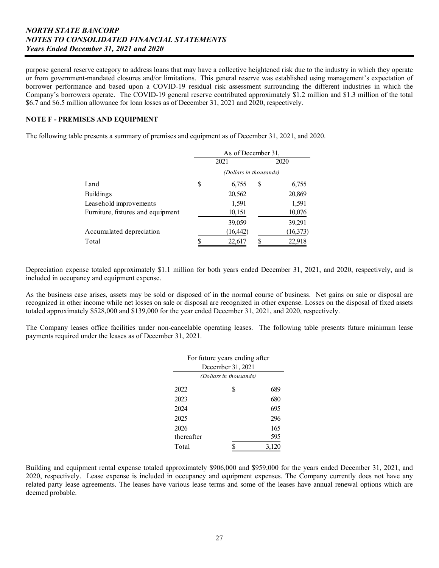purpose general reserve category to address loans that may have a collective heightened risk due to the industry in which they operate or from government-mandated closures and/or limitations. This general reserve was established using management's expectation of borrower performance and based upon a COVID-19 residual risk assessment surrounding the different industries in which the Company's borrowers operate. The COVID-19 general reserve contributed approximately \$1.2 million and \$1.3 million of the total \$6.7 and \$6.5 million allowance for loan losses as of December 31, 2021 and 2020, respectively.

## **NOTE F - PREMISES AND EQUIPMENT**

The following table presents a summary of premises and equipment as of December 31, 2021, and 2020.

|                                   | As of December 31, |                        |   |           |  |  |  |  |
|-----------------------------------|--------------------|------------------------|---|-----------|--|--|--|--|
|                                   |                    | 2021                   |   | 2020      |  |  |  |  |
|                                   |                    | (Dollars in thousands) |   |           |  |  |  |  |
| Land                              | S                  | 6,755                  | S | 6,755     |  |  |  |  |
| Buildings                         |                    | 20,562                 |   | 20,869    |  |  |  |  |
| Leasehold improvements            |                    | 1,591                  |   | 1,591     |  |  |  |  |
| Furniture, fixtures and equipment |                    | 10,151                 |   | 10,076    |  |  |  |  |
|                                   |                    | 39,059                 |   | 39,291    |  |  |  |  |
| Accumulated depreciation          |                    | (16, 442)              |   | (16, 373) |  |  |  |  |
| Total                             |                    | 22,617                 |   | 22,918    |  |  |  |  |

Depreciation expense totaled approximately \$1.1 million for both years ended December 31, 2021, and 2020, respectively, and is included in occupancy and equipment expense.

As the business case arises, assets may be sold or disposed of in the normal course of business. Net gains on sale or disposal are recognized in other income while net losses on sale or disposal are recognized in other expense. Losses on the disposal of fixed assets totaled approximately \$528,000 and \$139,000 for the year ended December 31, 2021, and 2020, respectively.

The Company leases office facilities under non-cancelable operating leases. The following table presents future minimum lease payments required under the leases as of December 31, 2021.

| For future years ending after |   |       |  |  |  |  |  |  |
|-------------------------------|---|-------|--|--|--|--|--|--|
| December 31, 2021             |   |       |  |  |  |  |  |  |
| (Dollars in thousands)        |   |       |  |  |  |  |  |  |
| 2022                          | S | 689   |  |  |  |  |  |  |
| 2023                          |   | 680   |  |  |  |  |  |  |
| 2024                          |   | 695   |  |  |  |  |  |  |
| 2025                          |   | 296   |  |  |  |  |  |  |
| 2026                          |   | 165   |  |  |  |  |  |  |
| thereafter                    |   | 595   |  |  |  |  |  |  |
| Total                         |   | 3,120 |  |  |  |  |  |  |

  $\mathbf{r} = \mathbf{r} \times \mathbf{r}$  ,  $\mathbf{r} = \mathbf{r} \times \mathbf{r}$  ,  $\mathbf{r} = \mathbf{r} \times \mathbf{r}$  ,  $\mathbf{r} = \mathbf{r} \times \mathbf{r}$  ,  $\mathbf{r} = \mathbf{r} \times \mathbf{r}$  ,  $\mathbf{r} = \mathbf{r} \times \mathbf{r}$  ,  $\mathbf{r} = \mathbf{r} \times \mathbf{r}$  ,  $\mathbf{r} = \mathbf{r} \times \mathbf{r}$  ,  $\mathbf{r} = \mathbf$  related party lease agreements. The leases have various lease terms and some of the leases have annual renewal options which are Building and equipment rental expense totaled approximately \$906,000 and \$959,000 for the years ended December 31, 2021, and 2020, respectively. Lease expense is included in occupancy and equipment expenses. The Company currently does not have any deemed probable.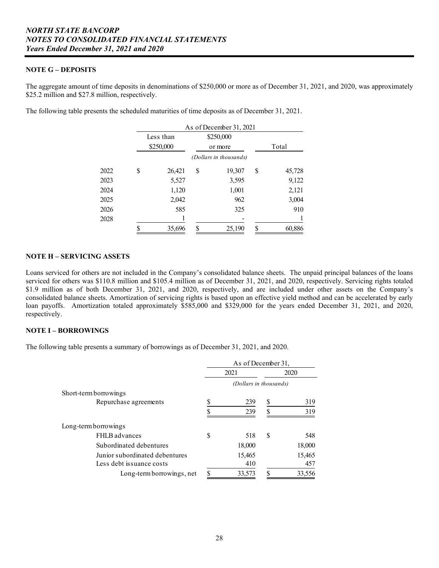## **NOTE G – DEPOSITS**

The aggregate amount of time deposits in denominations of \$250,000 or more as of December 31, 2021, and 2020, was approximately \$25.2 million and \$27.8 million, respectively.

The following table presents the scheduled maturities of time deposits as of December 31, 2021.

|      | As of December 31, 2021 |    |                        |    |        |  |  |  |  |  |  |
|------|-------------------------|----|------------------------|----|--------|--|--|--|--|--|--|
|      | Less than               |    | \$250,000              |    |        |  |  |  |  |  |  |
|      | \$250,000               |    | or more                |    | Total  |  |  |  |  |  |  |
|      |                         |    | (Dollars in thousands) |    |        |  |  |  |  |  |  |
| 2022 | \$<br>26,421            | \$ | 19,307                 | \$ | 45,728 |  |  |  |  |  |  |
| 2023 | 5,527                   |    | 3,595                  |    | 9,122  |  |  |  |  |  |  |
| 2024 | 1,120                   |    | 1,001                  |    | 2,121  |  |  |  |  |  |  |
| 2025 | 2,042                   |    | 962                    |    | 3,004  |  |  |  |  |  |  |
| 2026 | 585                     |    | 325                    |    | 910    |  |  |  |  |  |  |
| 2028 |                         |    |                        |    |        |  |  |  |  |  |  |
|      | 35,696                  | S  | 25,190                 | S  | 60,886 |  |  |  |  |  |  |

# **NOTE H – SERVICING ASSETS**

Loans serviced for others are not included in the Company's consolidated balance sheets. The unpaid principal balances of the loans serviced for others was \$110.8 million and \$105.4 million as of December 31, 2021, and 2020, respectively. Servicing rights totaled \$1.9 million as of both December 31, 2021, and 2020, respectively, and are included under other assets on the Company's consolidated balance sheets. Amortization of servicing rights is based upon an effective yield method and can be accelerated by early loan payoffs. Amortization totaled approximately \$585,000 and \$329,000 for the years ended December 31, 2021, and 2020, respectively.

#### **NOTE I – BORROWINGS**

The following table presents a summary of borrowings as of December 31, 2021, and 2020.

|                                | As of December 31, |        |                        |        |  |
|--------------------------------|--------------------|--------|------------------------|--------|--|
|                                | 2021               |        |                        | 2020   |  |
|                                |                    |        | (Dollars in thousands) |        |  |
| Short-term borrowings          |                    |        |                        |        |  |
| Repurchase agreements          |                    | 239    |                        | 319    |  |
|                                | ¢                  | 239    | \$                     | 319    |  |
| Long-term borrowings           |                    |        |                        |        |  |
| FHLB advances                  | S                  | 518    | S                      | 548    |  |
| Subordinated debentures        |                    | 18,000 |                        | 18,000 |  |
| Junior subordinated debentures |                    | 15,465 |                        | 15,465 |  |
| Less debt issuance costs       |                    | 410    |                        | 457    |  |
| Long-term borrowings, net      |                    | 33,573 |                        | 33,556 |  |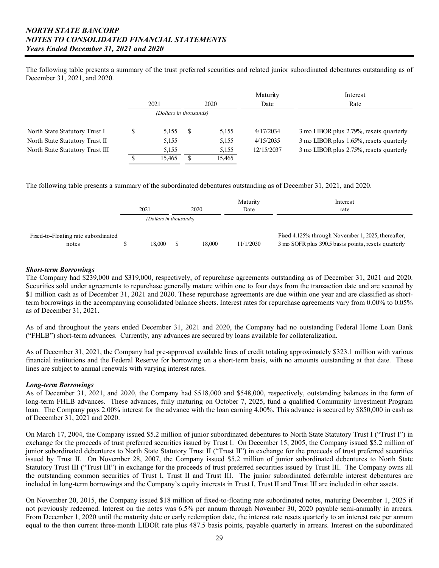The following table presents a summary of the trust preferred securities and related junior subordinated debentures outstanding as of December 31, 2021, and 2020.

|                                 |                        |    |        | Maturity   | Interest                                |
|---------------------------------|------------------------|----|--------|------------|-----------------------------------------|
|                                 | 2021                   |    | 2020   | Date       | Rate                                    |
|                                 | (Dollars in thousands) |    |        |            |                                         |
| North State Statutory Trust I   | 5.155                  | -S | 5,155  | 4/17/2034  | 3 mo LIBOR plus 2.79%, resets quarterly |
| North State Statutory Trust II  | 5,155                  |    | 5,155  | 4/15/2035  | 3 mo LIBOR plus 1.65%, resets quarterly |
| North State Statutory Trust III | 5.155                  |    | 5,155  | 12/15/2037 | 3 mo LIBOR plus 2.75%, resets quarterly |
|                                 | 15.465                 |    | 15,465 |            |                                         |

The following table presents a summary of the subordinated debentures outstanding as of December 31, 2021, and 2020.

|                                              | 2021                   | 2020   | Maturity<br>Date | Interest<br>rate                                                                                          |
|----------------------------------------------|------------------------|--------|------------------|-----------------------------------------------------------------------------------------------------------|
|                                              | (Dollars in thousands) |        |                  |                                                                                                           |
| Fixed-to-Floating rate subordinated<br>notes | 18.000                 | 18.000 | 11/1/2030        | Fixed 4.125% through November 1, 2025, thereafter,<br>3 mo SOFR plus 390.5 basis points, resets quarterly |

### *Short-term Borrowings*

The Company had \$239,000 and \$319,000, respectively, of repurchase agreements outstanding as of December 31, 2021 and 2020. Securities sold under agreements to repurchase generally mature within one to four days from the transaction date and are secured by \$1 million cash as of December 31, 2021 and 2020. These repurchase agreements are due within one year and are classified as shortterm borrowings in the accompanying consolidated balance sheets. Interest rates for repurchase agreements vary from 0.00% to 0.05% as of December 31, 2021.

 As of and throughout the years ended December 31, 2021 and 2020, the Company had no outstanding Federal Home Loan Bank ("FHLB") short-term advances. Currently, any advances are secured by loans available for collateralization.

As of December 31, 2021, the Company had pre-approved available lines of credit totaling approximately \$323.1 million with various financial institutions and the Federal Reserve for borrowing on a short-term basis, with no amounts outstanding at that date. These lines are subject to annual renewals with varying interest rates.

## *Long-term Borrowings*

As of December 31, 2021, and 2020, the Company had \$518,000 and \$548,000, respectively, outstanding balances in the form of long-term FHLB advances. These advances, fully maturing on October 7, 2025, fund a qualified Community Investment Program loan. The Company pays 2.00% interest for the advance with the loan earning 4.00%. This advance is secured by \$850,000 in cash as of December 31, 2021 and 2020.

On March 17, 2004, the Company issued \$5.2 million of junior subordinated debentures to North State Statutory Trust I ("Trust I") in exchange for the proceeds of trust preferred securities issued by Trust I. On December 15, 2005, the Company issued \$5.2 million of junior subordinated debentures to North State Statutory Trust II ("Trust II") in exchange for the proceeds of trust preferred securities issued by Trust II. On November 28, 2007, the Company issued \$5.2 million of junior subordinated debentures to North State Statutory Trust III ("Trust III") in exchange for the proceeds of trust preferred securities issued by Trust III. The Company owns all the outstanding common securities of Trust I, Trust II and Trust III. The junior subordinated deferrable interest debentures are included in long-term borrowings and the Company's equity interests in Trust I, Trust II and Trust III are included in other assets.

On November 20, 2015, the Company issued \$18 million of fixed-to-floating rate subordinated notes, maturing December 1, 2025 if not previously redeemed. Interest on the notes was 6.5% per annum through November 30, 2020 payable semi-annually in arrears. From December 1, 2020 until the maturity date or early redemption date, the interest rate resets quarterly to an interest rate per annum equal to the then current three-month LIBOR rate plus 487.5 basis points, payable quarterly in arrears. Interest on the subordinated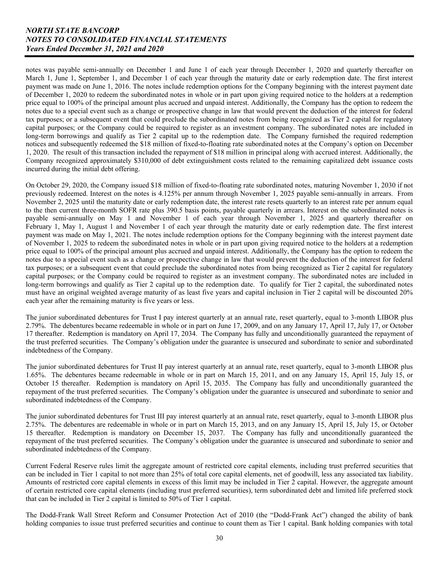of December 1, 2020 to redeem the subordinated notes in whole or in part upon giving required notice to the holders at a redemption notes was payable semi-annually on December 1 and June 1 of each year through December 1, 2020 and quarterly thereafter on March 1, June 1, September 1, and December 1 of each year through the maturity date or early redemption date. The first interest payment was made on June 1, 2016. The notes include redemption options for the Company beginning with the interest payment date price equal to 100% of the principal amount plus accrued and unpaid interest. Additionally, the Company has the option to redeem the notes due to a special event such as a change or prospective change in law that would prevent the deduction of the interest for federal tax purposes; or a subsequent event that could preclude the subordinated notes from being recognized as Tier 2 capital for regulatory capital purposes; or the Company could be required to register as an investment company. The subordinated notes are included in long-term borrowings and qualify as Tier 2 capital up to the redemption date. The Company furnished the required redemption notices and subsequently redeemed the \$18 million of fixed-to-floating rate subordinated notes at the Company's option on December 1, 2020. The result of this transaction included the repayment of \$18 million in principal along with accrued interest. Additionally, the Company recognized approximately \$310,000 of debt extinguishment costs related to the remaining capitalized debt issuance costs incurred during the initial debt offering.

On October 29, 2020, the Company issued \$18 million of fixed-to-floating rate subordinated notes, maturing November 1, 2030 if not previously redeemed. Interest on the notes is 4.125% per annum through November 1, 2025 payable semi-annually in arrears. From November 2, 2025 until the maturity date or early redemption date, the interest rate resets quarterly to an interest rate per annum equal to the then current three-month SOFR rate plus 390.5 basis points, payable quarterly in arrears. Interest on the subordinated notes is payable semi-annually on May 1 and November 1 of each year through November 1, 2025 and quarterly thereafter on February 1, May 1, August 1 and November 1 of each year through the maturity date or early redemption date. The first interest payment was made on May 1, 2021. The notes include redemption options for the Company beginning with the interest payment date of November 1, 2025 to redeem the subordinated notes in whole or in part upon giving required notice to the holders at a redemption price equal to 100% of the principal amount plus accrued and unpaid interest. Additionally, the Company has the option to redeem the notes due to a special event such as a change or prospective change in law that would prevent the deduction of the interest for federal tax purposes; or a subsequent event that could preclude the subordinated notes from being recognized as Tier 2 capital for regulatory capital purposes; or the Company could be required to register as an investment company. The subordinated notes are included in long-term borrowings and qualify as Tier 2 capital up to the redemption date. To qualify for Tier 2 capital, the subordinated notes must have an original weighted average maturity of as least five years and capital inclusion in Tier 2 capital will be discounted 20% each year after the remaining maturity is five years or less.

The junior subordinated debentures for Trust I pay interest quarterly at an annual rate, reset quarterly, equal to 3-month LIBOR plus 2.79%. The debentures became redeemable in whole or in part on June 17, 2009, and on any January 17, April 17, July 17, or October 17 thereafter. Redemption is mandatory on April 17, 2034. The Company has fully and unconditionally guaranteed the repayment of the trust preferred securities. The Company's obligation under the guarantee is unsecured and subordinate to senior and subordinated indebtedness of the Company.

The junior subordinated debentures for Trust II pay interest quarterly at an annual rate, reset quarterly, equal to 3-month LIBOR plus 1.65%. The debentures became redeemable in whole or in part on March 15, 2011, and on any January 15, April 15, July 15, or October 15 thereafter. Redemption is mandatory on April 15, 2035. The Company has fully and unconditionally guaranteed the repayment of the trust preferred securities. The Company's obligation under the guarantee is unsecured and subordinate to senior and subordinated indebtedness of the Company.

 2.75%. The debentures are redeemable in whole or in part on March 15, 2013, and on any January 15, April 15, July 15, or October subordinated indebtedness of the Company. The junior subordinated debentures for Trust III pay interest quarterly at an annual rate, reset quarterly, equal to 3-month LIBOR plus 15 thereafter. Redemption is mandatory on December 15, 2037. The Company has fully and unconditionally guaranteed the repayment of the trust preferred securities. The Company's obligation under the guarantee is unsecured and subordinate to senior and

Current Federal Reserve rules limit the aggregate amount of restricted core capital elements, including trust preferred securities that can be included in Tier 1 capital to not more than 25% of total core capital elements, net of goodwill, less any associated tax liability. Amounts of restricted core capital elements in excess of this limit may be included in Tier  $\tilde{2}$  capital. However, the aggregate amount of certain restricted core capital elements (including trust preferred securities), term subordinated debt and limited life preferred stock that can be included in Tier 2 capital is limited to 50% of Tier 1 capital.

The Dodd-Frank Wall Street Reform and Consumer Protection Act of 2010 (the "Dodd-Frank Act") changed the ability of bank holding companies to issue trust preferred securities and continue to count them as Tier 1 capital. Bank holding companies with total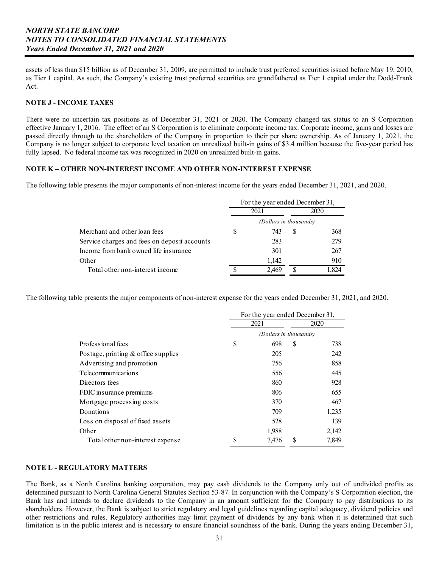assets of less than \$15 billion as of December 31, 2009, are permitted to include trust preferred securities issued before May 19, 2010, as Tier 1 capital. As such, the Company's existing trust preferred securities are grandfathered as Tier 1 capital under the Dodd-Frank Act.

### **NOTE J - INCOME TAXES**

There were no uncertain tax positions as of December 31, 2021 or 2020. The Company changed tax status to an S Corporation effective January 1, 2016. The effect of an S Corporation is to eliminate corporate income tax. Corporate income, gains and losses are passed directly through to the shareholders of the Company in proportion to their per share ownership. As of January 1, 2021, the Company is no longer subject to corporate level taxation on unrealized built-in gains of \$3.4 million because the five-year period has fully lapsed. No federal income tax was recognized in 2020 on unrealized built-in gains.

#### **NOTE K – OTHER NON-INTEREST INCOME AND OTHER NON-INTEREST EXPENSE**

The following table presents the major components of non-interest income for the years ended December 31, 2021, and 2020.

|                                              |   | For the year ended December 31, |       |
|----------------------------------------------|---|---------------------------------|-------|
|                                              |   | 2021                            | 2020  |
|                                              |   | (Dollars in thousands)          |       |
| Merchant and other loan fees                 | S | 743                             | 368   |
| Service charges and fees on deposit accounts |   | 283                             | 279   |
| Income from bank owned life insurance        |   | 301                             | 267   |
| Other                                        |   | 1.142                           | 910   |
| Total other non-interest income              |   | 2.469                           | 1,824 |

The following table presents the major components of non-interest expense for the years ended December 31, 2021, and 2020.

|                                        |   | For the year ended December 31, |   |       |
|----------------------------------------|---|---------------------------------|---|-------|
|                                        |   | 2021                            |   | 2020  |
|                                        |   | (Dollars in thousands)          |   |       |
| Professional fees                      | S | 698                             | S | 738   |
| Postage, printing $\&$ office supplies |   | 205                             |   | 242   |
| Advertising and promotion              |   | 756                             |   | 858   |
| Telecommunications                     |   | 556                             |   | 445   |
| Directors fees                         |   | 860                             |   | 928   |
| FDIC insurance premiums                |   | 806                             |   | 655   |
| Mortgage processing costs              |   | 370                             |   | 467   |
| Donations                              |   | 709                             |   | 1,235 |
| Loss on disposal of fixed assets       |   | 528                             |   | 139   |
| Other                                  |   | 1,988                           |   | 2,142 |
| Total other non-interest expense       |   | 7.476                           | S | 7.849 |

## **NOTE L - REGULATORY MATTERS**

The Bank, as a North Carolina banking corporation, may pay cash dividends to the Company only out of undivided profits as determined pursuant to North Carolina General Statutes Section 53-87. In conjunction with the Company's S Corporation election, the Bank has and intends to declare dividends to the Company in an amount sufficient for the Company to pay distributions to its shareholders. However, the Bank is subject to strict regulatory and legal guidelines regarding capital adequacy, dividend policies and other restrictions and rules. Regulatory authorities may limit payment of dividends by any bank when it is determined that such limitation is in the public interest and is necessary to ensure financial soundness of the bank. During the years ending December 31,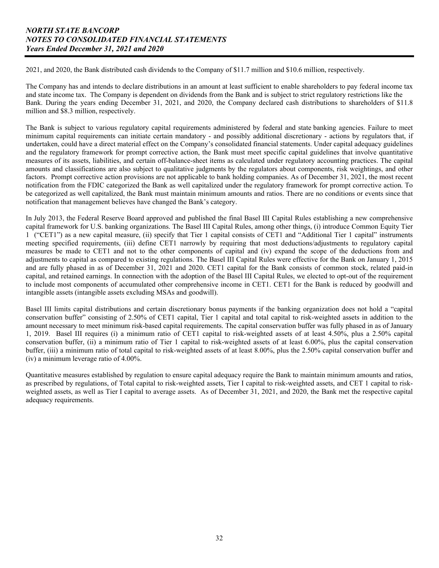2021, and 2020, the Bank distributed cash dividends to the Company of \$11.7 million and \$10.6 million, respectively.

The Company has and intends to declare distributions in an amount at least sufficient to enable shareholders to pay federal income tax and state income tax. The Company is dependent on dividends from the Bank and is subject to strict regulatory restrictions like the Bank. During the years ending December 31, 2021, and 2020, the Company declared cash distributions to shareholders of \$11.8 million and \$8.3 million, respectively.

The Bank is subject to various regulatory capital requirements administered by federal and state banking agencies. Failure to meet minimum capital requirements can initiate certain mandatory - and possibly additional discretionary - actions by regulators that, if undertaken, could have a direct material effect on the Company's consolidated financial statements. Under capital adequacy guidelines and the regulatory framework for prompt corrective action, the Bank must meet specific capital guidelines that involve quantitative measures of its assets, liabilities, and certain off-balance-sheet items as calculated under regulatory accounting practices. The capital amounts and classifications are also subject to qualitative judgments by the regulators about components, risk weightings, and other factors. Prompt corrective action provisions are not applicable to bank holding companies. As of December 31, 2021, the most recent notification from the FDIC categorized the Bank as well capitalized under the regulatory framework for prompt corrective action. To be categorized as well capitalized, the Bank must maintain minimum amounts and ratios. There are no conditions or events since that notification that management believes have changed the Bank's category.

 to include most components of accumulated other comprehensive income in CET1. CET1 for the Bank is reduced by goodwill and In July 2013, the Federal Reserve Board approved and published the final Basel III Capital Rules establishing a new comprehensive capital framework for U.S. banking organizations. The Basel III Capital Rules, among other things, (i) introduce Common Equity Tier 1 ("CET1") as a new capital measure, (ii) specify that Tier 1 capital consists of CET1 and "Additional Tier 1 capital" instruments meeting specified requirements, (iii) define CET1 narrowly by requiring that most deductions/adjustments to regulatory capital measures be made to CET1 and not to the other components of capital and (iv) expand the scope of the deductions from and adjustments to capital as compared to existing regulations. The Basel III Capital Rules were effective for the Bank on January 1, 2015 and are fully phased in as of December 31, 2021 and 2020. CET1 capital for the Bank consists of common stock, related paid-in capital, and retained earnings. In connection with the adoption of the Basel III Capital Rules, we elected to opt-out of the requirement intangible assets (intangible assets excluding MSAs and goodwill).

(iv) a minimum leverage ratio of  $4.00\%$ . Basel III limits capital distributions and certain discretionary bonus payments if the banking organization does not hold a "capital conservation buffer" consisting of 2.50% of CET1 capital, Tier 1 capital and total capital to risk-weighted assets in addition to the amount necessary to meet minimum risk-based capital requirements. The capital conservation buffer was fully phased in as of January 1, 2019. Basel III requires (i) a minimum ratio of CET1 capital to risk-weighted assets of at least 4.50%, plus a 2.50% capital conservation buffer, (ii) a minimum ratio of Tier 1 capital to risk-weighted assets of at least 6.00%, plus the capital conservation buffer, (iii) a minimum ratio of total capital to risk-weighted assets of at least 8.00%, plus the 2.50% capital conservation buffer and

Quantitative measures established by regulation to ensure capital adequacy require the Bank to maintain minimum amounts and ratios, as prescribed by regulations, of Total capital to risk-weighted assets, Tier I capital to risk-weighted assets, and CET 1 capital to riskweighted assets, as well as Tier I capital to average assets. As of December 31, 2021, and 2020, the Bank met the respective capital adequacy requirements.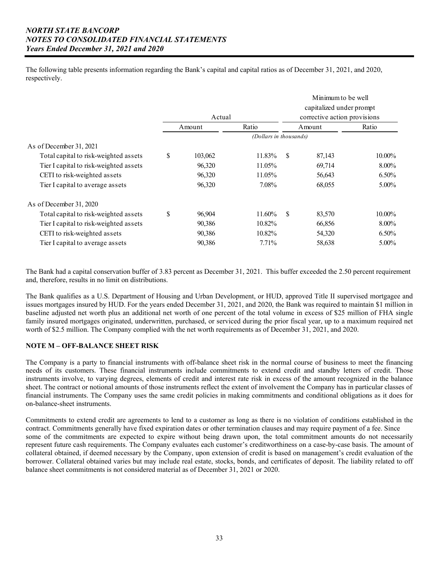The following table presents information regarding the Bank's capital and capital ratios as of December 31, 2021, and 2020, respectively.

|                                        |        |         |                        | Minimum to be well |                              |          |  |  |
|----------------------------------------|--------|---------|------------------------|--------------------|------------------------------|----------|--|--|
|                                        |        |         |                        |                    | capitalized under prompt     |          |  |  |
|                                        | Actual |         |                        |                    | corrective action provisions |          |  |  |
|                                        |        | Amount  | Ratio                  | Amount             |                              | Ratio    |  |  |
|                                        |        |         | (Dollars in thousands) |                    |                              |          |  |  |
| As of December 31, 2021                |        |         |                        |                    |                              |          |  |  |
| Total capital to risk-weighted assets  | \$     | 103,062 | 11.83%                 | S                  | 87,143                       | 10.00%   |  |  |
| Tier I capital to risk-weighted assets |        | 96,320  | 11.05%                 |                    | 69,714                       | 8.00%    |  |  |
| CETI to risk-weighted assets           |        | 96,320  | 11.05%                 |                    | 56,643                       | $6.50\%$ |  |  |
| Tier I capital to average assets       |        | 96,320  | 7.08%                  |                    | 68,055                       | 5.00%    |  |  |
| As of December 31, 2020                |        |         |                        |                    |                              |          |  |  |
| Total capital to risk-weighted assets  | \$     | 96,904  | 11.60%                 | S                  | 83,570                       | 10.00%   |  |  |
| Tier I capital to risk-weighted assets |        | 90,386  | 10.82%                 |                    | 66,856                       | 8.00%    |  |  |
| CETI to risk-weighted assets           |        | 90,386  | 10.82%                 |                    | 54,320                       | 6.50%    |  |  |
| Tier I capital to average assets       |        | 90,386  | 7.71%                  |                    | 58,638                       | 5.00%    |  |  |

The Bank had a capital conservation buffer of 3.83 percent as December 31, 2021. This buffer exceeded the 2.50 percent requirement and, therefore, results in no limit on distributions.

 baseline adjusted net worth plus an additional net worth of one percent of the total volume in excess of \$25 million of FHA single The Bank qualifies as a U.S. Department of Housing and Urban Development, or HUD, approved Title II supervised mortgagee and issues mortgages insured by HUD. For the years ended December 31, 2021, and 2020, the Bank was required to maintain \$1 million in family insured mortgages originated, underwritten, purchased, or serviced during the prior fiscal year, up to a maximum required net worth of \$2.5 million. The Company complied with the net worth requirements as of December 31, 2021, and 2020.

# **NOTE M – OFF-BALANCE SHEET RISK**

The Company is a party to financial instruments with off-balance sheet risk in the normal course of business to meet the financing needs of its customers. These financial instruments include commitments to extend credit and standby letters of credit. Those instruments involve, to varying degrees, elements of credit and interest rate risk in excess of the amount recognized in the balance sheet. The contract or notional amounts of those instruments reflect the extent of involvement the Company has in particular classes of financial instruments. The Company uses the same credit policies in making commitments and conditional obligations as it does for on-balance-sheet instruments.

 some of the commitments are expected to expire without being drawn upon, the total commitment amounts do not necessarily Commitments to extend credit are agreements to lend to a customer as long as there is no violation of conditions established in the contract. Commitments generally have fixed expiration dates or other termination clauses and may require payment of a fee. Since represent future cash requirements. The Company evaluates each customer's creditworthiness on a case-by-case basis. The amount of collateral obtained, if deemed necessary by the Company, upon extension of credit is based on management's credit evaluation of the borrower. Collateral obtained varies but may include real estate, stocks, bonds, and certificates of deposit. The liability related to off balance sheet commitments is not considered material as of December 31, 2021 or 2020.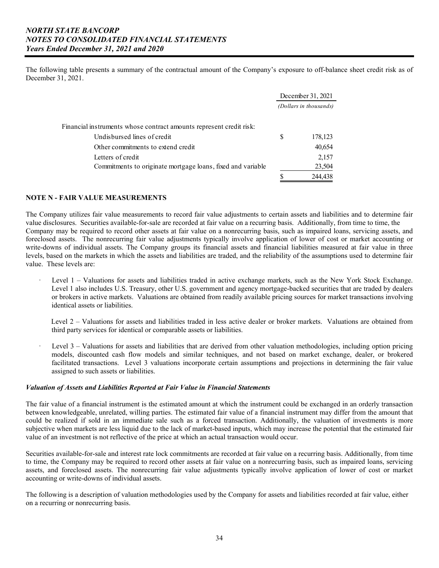The following table presents a summary of the contractual amount of the Company's exposure to off-balance sheet credit risk as of December 31, 2021.

|                                                                     |   | December 31, 2021      |
|---------------------------------------------------------------------|---|------------------------|
|                                                                     |   | (Dollars in thousands) |
| Financial instruments whose contract amounts represent credit risk: |   |                        |
| Undisbursed lines of credit                                         | S | 178,123                |
| Other commitments to extend credit                                  |   | 40,654                 |
| Letters of credit                                                   |   | 2,157                  |
| Commitments to originate mortgage loans, fixed and variable         |   | 23,504                 |
|                                                                     |   | 244,438                |

## **NOTE N - FAIR VALUE MEASUREMENTS**

The Company utilizes fair value measurements to record fair value adjustments to certain assets and liabilities and to determine fair value disclosures. Securities available-for-sale are recorded at fair value on a recurring basis. Additionally, from time to time, the Company may be required to record other assets at fair value on a nonrecurring basis, such as impaired loans, servicing assets, and foreclosed assets. The nonrecurring fair value adjustments typically involve application of lower of cost or market accounting or write-downs of individual assets. The Company groups its financial assets and financial liabilities measured at fair value in three levels, based on the markets in which the assets and liabilities are traded, and the reliability of the assumptions used to determine fair value. These levels are:

- Level 1 Valuations for assets and liabilities traded in active exchange markets, such as the New York Stock Exchange. Level 1 also includes U.S. Treasury, other U.S. government and agency mortgage-backed securities that are traded by dealers or brokers in active markets. Valuations are obtained from readily available pricing sources for market transactions involving identical assets or liabilities.
	- Level 2 Valuations for assets and liabilities traded in less active dealer or broker markets. Valuations are obtained from third party services for identical or comparable assets or liabilities.
- Level 3 Valuations for assets and liabilities that are derived from other valuation methodologies, including option pricing models, discounted cash flow models and similar techniques, and not based on market exchange, dealer, or brokered facilitated transactions. Level 3 valuations incorporate certain assumptions and projections in determining the fair value assigned to such assets or liabilities.

## *Valuation of Assets and Liabilities Reported at Fair Value in Financial Statements*

The fair value of a financial instrument is the estimated amount at which the instrument could be exchanged in an orderly transaction between knowledgeable, unrelated, willing parties. The estimated fair value of a financial instrument may differ from the amount that could be realized if sold in an immediate sale such as a forced transaction. Additionally, the valuation of investments is more subjective when markets are less liquid due to the lack of market-based inputs, which may increase the potential that the estimated fair value of an investment is not reflective of the price at which an actual transaction would occur.

Securities available-for-sale and interest rate lock commitments are recorded at fair value on a recurring basis. Additionally, from time to time, the Company may be required to record other assets at fair value on a nonrecurring basis, such as impaired loans, servicing assets, and foreclosed assets. The nonrecurring fair value adjustments typically involve application of lower of cost or market accounting or write-downs of individual assets.

The following is a description of valuation methodologies used by the Company for assets and liabilities recorded at fair value, either on a recurring or nonrecurring basis.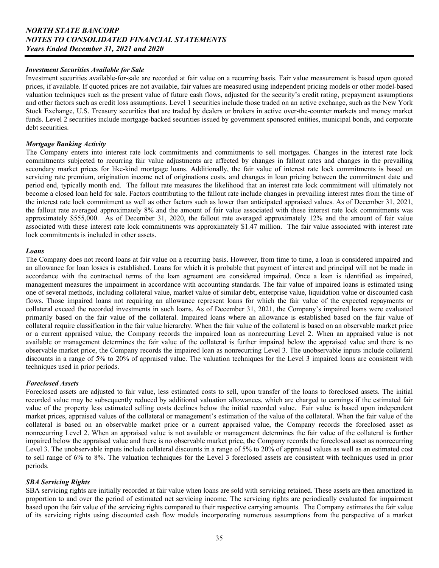### *Investment Securities Available for Sale*

 prices, if available. If quoted prices are not available, fair values are measured using independent pricing models or other model-based Investment securities available-for-sale are recorded at fair value on a recurring basis. Fair value measurement is based upon quoted valuation techniques such as the present value of future cash flows, adjusted for the security's credit rating, prepayment assumptions and other factors such as credit loss assumptions. Level 1 securities include those traded on an active exchange, such as the New York Stock Exchange, U.S. Treasury securities that are traded by dealers or brokers in active over-the-counter markets and money market funds. Level 2 securities include mortgage-backed securities issued by government sponsored entities, municipal bonds, and corporate debt securities.

#### *Mortgage Banking Activity*

The Company enters into interest rate lock commitments and commitments to sell mortgages. Changes in the interest rate lock commitments subjected to recurring fair value adjustments are affected by changes in fallout rates and changes in the prevailing secondary market prices for like-kind mortgage loans. Additionally, the fair value of interest rate lock commitments is based on servicing rate premium, origination income net of originations costs, and changes in loan pricing between the commitment date and period end, typically month end. The fallout rate measures the likelihood that an interest rate lock commitment will ultimately not become a closed loan held for sale. Factors contributing to the fallout rate include changes in prevailing interest rates from the time of the interest rate lock commitment as well as other factors such as lower than anticipated appraised values. As of December 31, 2021, the fallout rate averaged approximately 8% and the amount of fair value associated with these interest rate lock commitments was approximately \$555,000. As of December 31, 2020, the fallout rate averaged approximately 12% and the amount of fair value associated with these interest rate lock commitments was approximately \$1.47 million. The fair value associated with interest rate lock commitments is included in other assets.

#### *Loans*

The Company does not record loans at fair value on a recurring basis. However, from time to time, a loan is considered impaired and an allowance for loan losses is established. Loans for which it is probable that payment of interest and principal will not be made in accordance with the contractual terms of the loan agreement are considered impaired. Once a loan is identified as impaired, management measures the impairment in accordance with accounting standards. The fair value of impaired loans is estimated using one of several methods, including collateral value, market value of similar debt, enterprise value, liquidation value or discounted cash flows. Those impaired loans not requiring an allowance represent loans for which the fair value of the expected repayments or collateral exceed the recorded investments in such loans. As of December 31, 2021, the Company's impaired loans were evaluated primarily based on the fair value of the collateral. Impaired loans where an allowance is established based on the fair value of collateral require classification in the fair value hierarchy. When the fair value of the collateral is based on an observable market price or a current appraised value, the Company records the impaired loan as nonrecurring Level 2. When an appraised value is not available or management determines the fair value of the collateral is further impaired below the appraised value and there is no observable market price, the Company records the impaired loan as nonrecurring Level 3. The unobservable inputs include collateral discounts in a range of 5% to 20% of appraised value. The valuation techniques for the Level 3 impaired loans are consistent with techniques used in prior periods.

#### *Foreclosed Assets*

Foreclosed assets are adjusted to fair value, less estimated costs to sell, upon transfer of the loans to foreclosed assets. The initial recorded value may be subsequently reduced by additional valuation allowances, which are charged to earnings if the estimated fair value of the property less estimated selling costs declines below the initial recorded value. Fair value is based upon independent market prices, appraised values of the collateral or management's estimation of the value of the collateral. When the fair value of the collateral is based on an observable market price or a current appraised value, the Company records the foreclosed asset as nonrecurring Level 2. When an appraised value is not available or management determines the fair value of the collateral is further impaired below the appraised value and there is no observable market price, the Company records the foreclosed asset as nonrecurring Level 3. The unobservable inputs include collateral discounts in a range of 5% to 20% of appraised values as well as an estimated cost to sell range of 6% to 8%. The valuation techniques for the Level 3 foreclosed assets are consistent with techniques used in prior periods.

## *SBA Servicing Rights*

SBA servicing rights are initially recorded at fair value when loans are sold with servicing retained. These assets are then amortized in proportion to and over the period of estimated net servicing income. The servicing rights are periodically evaluated for impairment based upon the fair value of the servicing rights compared to their respective carrying amounts. The Company estimates the fair value of its servicing rights using discounted cash flow models incorporating numerous assumptions from the perspective of a market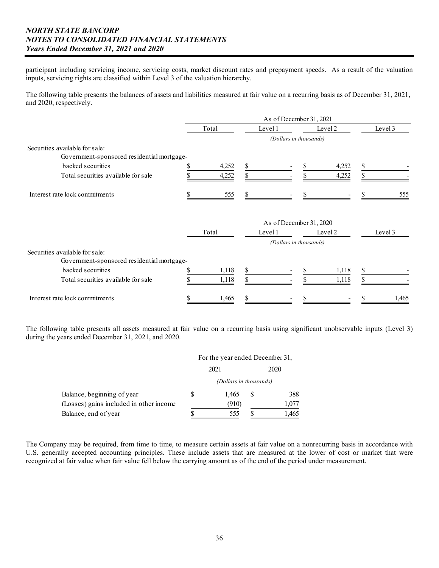participant including servicing income, servicing costs, market discount rates and prepayment speeds. As a result of the valuation inputs, servicing rights are classified within Level 3 of the valuation hierarchy.

The following table presents the balances of assets and liabilities measured at fair value on a recurring basis as of December 31, 2021, and 2020, respectively.

|                                                                              | As of December 31, 2021 |         |                         |         |   |         |  |  |  |
|------------------------------------------------------------------------------|-------------------------|---------|-------------------------|---------|---|---------|--|--|--|
|                                                                              | Total                   | Level 1 |                         | Level 2 |   | Level 3 |  |  |  |
|                                                                              |                         |         | (Dollars in thousands)  |         |   |         |  |  |  |
| Securities available for sale:                                               |                         |         |                         |         |   |         |  |  |  |
| Government-sponsored residential mortgage-                                   |                         |         |                         |         |   |         |  |  |  |
| backed securities                                                            | 4,252                   | S       |                         | 4,252   | S |         |  |  |  |
| Total securities available for sale                                          | 4,252                   | \$      |                         | 4,252   | S |         |  |  |  |
| Interest rate lock commitments                                               | 555                     |         |                         |         |   | 555     |  |  |  |
|                                                                              |                         |         | As of December 31, 2020 |         |   |         |  |  |  |
|                                                                              | Total                   | Level 1 |                         | Level 2 |   | Level 3 |  |  |  |
|                                                                              |                         |         | (Dollars in thousands)  |         |   |         |  |  |  |
| Securities available for sale:<br>Government-sponsored residential mortgage- |                         |         |                         |         |   |         |  |  |  |
| backed securities                                                            | 1,118                   |         |                         | 1,118   |   |         |  |  |  |
| Total securities available for sale                                          | 1,118                   |         |                         | 1,118   |   |         |  |  |  |
| Interest rate lock commitments                                               | 1,465                   |         |                         |         |   | 1,465   |  |  |  |

The following table presents all assets measured at fair value on a recurring basis using significant unobservable inputs (Level 3) during the years ended December 31, 2021, and 2020.

|                                         |                        |   | For the year ended December 31, |  |  |
|-----------------------------------------|------------------------|---|---------------------------------|--|--|
|                                         | 2021                   |   | 2020                            |  |  |
|                                         | (Dollars in thousands) |   |                                 |  |  |
| Balance, beginning of year              | 1.465                  | S | 388                             |  |  |
| (Losses) gains included in other income | (910)                  |   | 1,077                           |  |  |
| Balance, end of year                    | 555                    |   | 1,465                           |  |  |

The Company may be required, from time to time, to measure certain assets at fair value on a nonrecurring basis in accordance with U.S. generally accepted accounting principles. These include assets that are measured at the lower of cost or market that were recognized at fair value when fair value fell below the carrying amount as of the end of the period under measurement.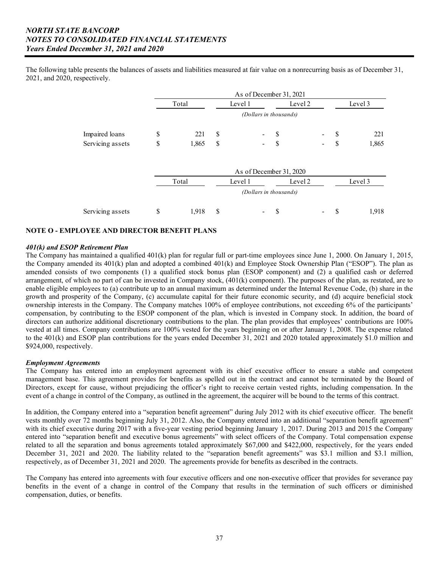The following table presents the balances of assets and liabilities measured at fair value on a nonrecurring basis as of December 31, 2021, and 2020, respectively.

|                  |   | As of December 31, 2021 |               |                                  |  |    |                              |          |         |  |  |  |
|------------------|---|-------------------------|---------------|----------------------------------|--|----|------------------------------|----------|---------|--|--|--|
|                  |   | Total                   |               | Level 1<br>Level 2               |  |    |                              |          | Level 3 |  |  |  |
|                  |   |                         |               | (Dollars in thousands)           |  |    |                              |          |         |  |  |  |
| Impaired loans   | S | 221                     | S             | $\sim$                           |  | -S | $\qquad \qquad \blacksquare$ | <b>S</b> | 221     |  |  |  |
| Servicing assets | S | 1,865                   | <sup>\$</sup> | $\sim$                           |  | S  | $\overline{\phantom{a}}$     | -S       | 1,865   |  |  |  |
|                  |   |                         |               |                                  |  |    |                              |          |         |  |  |  |
|                  |   |                         |               | $\Lambda$ g of December 21, 2020 |  |    |                              |          |         |  |  |  |

|                  | AS OI December 31, 2020 |   |                          |  |         |    |  |         |  |  |
|------------------|-------------------------|---|--------------------------|--|---------|----|--|---------|--|--|
|                  | Total                   |   | Level 1                  |  | Level 2 |    |  | Level 3 |  |  |
|                  |                         |   | (Dollars in thousands)   |  |         |    |  |         |  |  |
| Servicing assets | 1.918                   | S | $\overline{\phantom{a}}$ |  |         | ۰. |  | 1.918   |  |  |

## **NOTE O - EMPLOYEE AND DIRECTOR BENEFIT PLANS**

### *401(k) and ESOP Retirement Plan*

 the Company amended its 401(k) plan and adopted a combined 401(k) and Employee Stock Ownership Plan ("ESOP"). The plan as compensation, by contributing to the ESOP component of the plan, which is invested in Company stock. In addition, the board of The Company has maintained a qualified 401(k) plan for regular full or part-time employees since June 1, 2000. On January 1, 2015, amended consists of two components (1) a qualified stock bonus plan (ESOP component) and (2) a qualified cash or deferred arrangement, of which no part of can be invested in Company stock, (401(k) component). The purposes of the plan, as restated, are to enable eligible employees to (a) contribute up to an annual maximum as determined under the Internal Revenue Code, (b) share in the growth and prosperity of the Company, (c) accumulate capital for their future economic security, and (d) acquire beneficial stock ownership interests in the Company. The Company matches 100% of employee contributions, not exceeding 6% of the participants' directors can authorize additional discretionary contributions to the plan. The plan provides that employees' contributions are 100% vested at all times. Company contributions are 100% vested for the years beginning on or after January 1, 2008. The expense related to the 401(k) and ESOP plan contributions for the years ended December 31, 2021 and 2020 totaled approximately \$1.0 million and \$924,000, respectively.

#### *Employment Agreements*

The Company has entered into an employment agreement with its chief executive officer to ensure a stable and competent management base. This agreement provides for benefits as spelled out in the contract and cannot be terminated by the Board of Directors, except for cause, without prejudicing the officer's right to receive certain vested rights, including compensation. In the event of a change in control of the Company, as outlined in the agreement, the acquirer will be bound to the terms of this contract.

 with its chief executive during 2017 with a five-year vesting period beginning January 1, 2017. During 2013 and 2015 the Company In addition, the Company entered into a "separation benefit agreement" during July 2012 with its chief executive officer. The benefit vests monthly over 72 months beginning July 31, 2012. Also, the Company entered into an additional "separation benefit agreement" entered into "separation benefit and executive bonus agreements" with select officers of the Company. Total compensation expense related to all the separation and bonus agreements totaled approximately \$67,000 and \$422,000, respectively, for the years ended December 31, 2021 and 2020. The liability related to the "separation benefit agreements" was \$3.1 million and \$3.1 million, respectively, as of December 31, 2021 and 2020. The agreements provide for benefits as described in the contracts.

The Company has entered into agreements with four executive officers and one non-executive officer that provides for severance pay benefits in the event of a change in control of the Company that results in the termination of such officers or diminished compensation, duties, or benefits.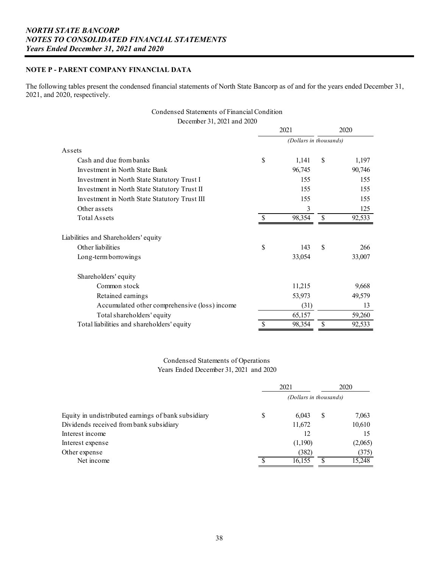## **NOTE P - PARENT COMPANY FINANCIAL DATA**

The following tables present the condensed financial statements of North State Bancorp as of and for the years ended December 31, 2021, and 2020, respectively.

# Condensed Statements of Financial Condition

December 31, 2021 and 2020

|                                               |    | 2021                   |    | 2020   |
|-----------------------------------------------|----|------------------------|----|--------|
|                                               |    | (Dollars in thousands) |    |        |
| Assets                                        |    |                        |    |        |
| Cash and due from banks                       | \$ | 1,141                  | \$ | 1,197  |
| Investment in North State Bank                |    | 96,745                 |    | 90,746 |
| Investment in North State Statutory Trust I   |    | 155                    |    | 155    |
| Investment in North State Statutory Trust II  |    | 155                    |    | 155    |
| Investment in North State Statutory Trust III |    | 155                    |    | 155    |
| Other assets                                  |    | 3                      |    | 125    |
| Total Assets                                  | S  | 98,354                 | S  | 92,533 |
| Liabilities and Shareholders' equity          |    |                        |    |        |
| Other liabilities                             | \$ | 143                    | \$ | 266    |
| Long-term borrowings                          |    | 33,054                 |    | 33,007 |
| Shareholders' equity                          |    |                        |    |        |
| Common stock                                  |    | 11,215                 |    | 9,668  |
| Retained earnings                             |    | 53,973                 |    | 49,579 |
| Accumulated other comprehensive (loss) income |    | (31)                   |    | 13     |
| Total shareholders' equity                    |    | 65,157                 |    | 59,260 |
| Total liabilities and shareholders' equity    | S  | 98,354                 | \$ | 92,533 |

## Condensed Statements of Operations Years Ended December 31, 2021 and 2020

|                                                     | 2021                   |         |   | 2020    |  |  |
|-----------------------------------------------------|------------------------|---------|---|---------|--|--|
|                                                     | (Dollars in thousands) |         |   |         |  |  |
| Equity in undistributed earnings of bank subsidiary | \$                     | 6.043   | S | 7,063   |  |  |
| Dividends received from bank subsidiary             |                        | 11,672  |   | 10,610  |  |  |
| Interest income                                     |                        | 12      |   | 15      |  |  |
| Interest expense                                    |                        | (1,190) |   | (2,065) |  |  |
| Other expense                                       |                        | (382)   |   | (375)   |  |  |
| Net income                                          |                        | 16,155  |   | 15,248  |  |  |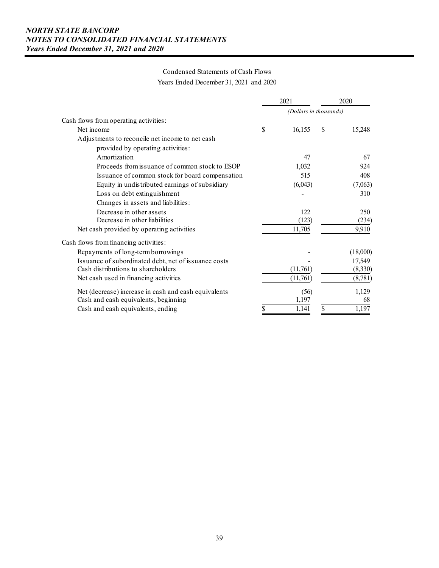# Condensed Statements of Cash Flows Years Ended December 31, 2021 and 2020

|                                                      | 2021                   |               | 2020     |
|------------------------------------------------------|------------------------|---------------|----------|
|                                                      | (Dollars in thousands) |               |          |
| Cash flows from operating activities:                |                        |               |          |
| Net income                                           | \$<br>16,155           | <sup>\$</sup> | 15,248   |
| Adjustments to reconcile net income to net cash      |                        |               |          |
| provided by operating activities:                    |                        |               |          |
| Amortization                                         | 47                     |               | 67       |
| Proceeds from issuance of common stock to ESOP       | 1,032                  |               | 924      |
| Issuance of common stock for board compensation      | 515                    |               | 408      |
| Equity in undistributed earnings of subsidiary       | (6,043)                |               | (7,063)  |
| Loss on debt extinguishment                          |                        |               | 310      |
| Changes in assets and liabilities:                   |                        |               |          |
| Decrease in other assets                             | 122                    |               | 250      |
| Decrease in other liabilities                        | (123)                  |               | (234)    |
| Net cash provided by operating activities            | 11,705                 |               | 9,910    |
| Cash flows from financing activities:                |                        |               |          |
| Repayments of long-term borrowings                   |                        |               | (18,000) |
| Issuance of subordinated debt, net of issuance costs |                        |               | 17,549   |
| Cash distributions to shareholders                   | (11,761)               |               | (8,330)  |
| Net cash used in financing activities                | (11,761)               |               | (8,781)  |
| Net (decrease) increase in cash and cash equivalents | (56)                   |               | 1,129    |
| Cash and cash equivalents, beginning                 | 1,197                  |               | 68       |
| Cash and cash equivalents, ending                    | \$<br>1,141            | \$            | 1,197    |